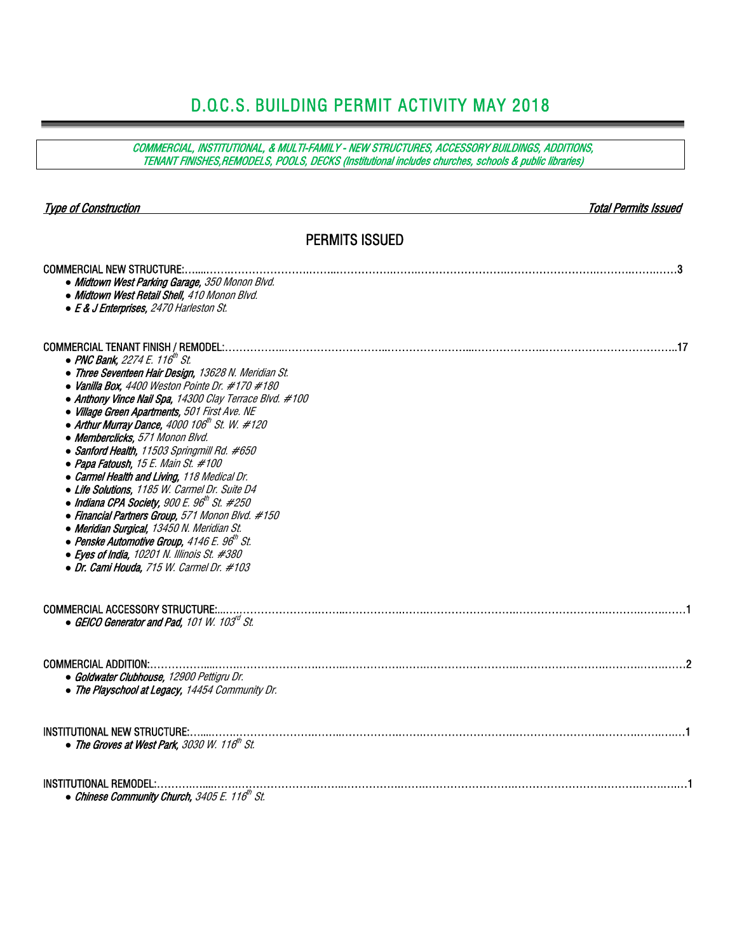# D.O.C.S. BUILDING PERMIT ACTIVITY MAY 2018

| COMMERCIAL, INSTITUTIONAL, & MULTI-FAMILY - NEW STRUCTURES, ACCESSORY BUILDINGS, ADDITIONS,<br>TENANT FINISHES, REMODELS, POOLS, DECKS (Institutional includes churches, schools & public libraries)                                                                                                                                                                                                                                                                                                                                                                                                                                                                                                                                                                                                                                                                                                                               |                      |
|------------------------------------------------------------------------------------------------------------------------------------------------------------------------------------------------------------------------------------------------------------------------------------------------------------------------------------------------------------------------------------------------------------------------------------------------------------------------------------------------------------------------------------------------------------------------------------------------------------------------------------------------------------------------------------------------------------------------------------------------------------------------------------------------------------------------------------------------------------------------------------------------------------------------------------|----------------------|
| <b>Type of Construction</b>                                                                                                                                                                                                                                                                                                                                                                                                                                                                                                                                                                                                                                                                                                                                                                                                                                                                                                        | Total Permits Issued |
| <b>PERMITS ISSUED</b>                                                                                                                                                                                                                                                                                                                                                                                                                                                                                                                                                                                                                                                                                                                                                                                                                                                                                                              |                      |
| <b>COMMERCIAL NEW STRUCTURE:.</b><br>• Midtown West Parking Garage, 350 Monon Blvd.<br>• Midtown West Retail Shell, 410 Monon Blvd.<br>• E & J Enterprises, 2470 Harleston St.                                                                                                                                                                                                                                                                                                                                                                                                                                                                                                                                                                                                                                                                                                                                                     |                      |
| <b>COMMERCIAL TENANT FINISH / REMODEL:.</b><br>• PNC Bank, 2274 E. 116 <sup>th</sup> St.<br>• Three Seventeen Hair Design, 13628 N. Meridian St.<br>• Vanilla Box, 4400 Weston Pointe Dr. $\#170\#180$<br>• Anthony Vince Nail Spa, 14300 Clay Terrace Blvd. #100<br>• Village Green Apartments, 501 First Ave. NE<br>• Arthur Murray Dance, $4000 106^{\text{th}}$ St. W. $\#120$<br>• Memberclicks, 571 Monon Blvd.<br>• Sanford Health, 11503 Springmill Rd. #650<br>• Papa Fatoush, 15 E. Main St. #100<br>• Carmel Health and Living, 118 Medical Dr.<br>• Life Solutions, 1185 W. Carmel Dr. Suite D4<br>• Indiana CPA Society, 900 E. 96 <sup>th</sup> St. #250<br>• Financial Partners Group, 571 Monon Blvd. #150<br>• Meridian Surgical, 13450 N. Meridian St.<br>$\bullet$ Penske Automotive Group, 4146 E. 96th St.<br>$\bullet$ Eyes of India, 10201 N. Illinois St. #380<br>• Dr. Cami Houda, 715 W. Carmel Dr. #103 | 17                   |
| <b>COMMERCIAL ACCESSORY STRUCTURE:.</b><br>• GEICO Generator and Pad, 101 W. 103 <sup>rd</sup> St.                                                                                                                                                                                                                                                                                                                                                                                                                                                                                                                                                                                                                                                                                                                                                                                                                                 |                      |
| <b>COMMERCIAL ADDITION:.</b><br>• Goldwater Clubhouse. 12900 Pettiaru Dr.<br>• The Playschool at Legacy, 14454 Community Dr.                                                                                                                                                                                                                                                                                                                                                                                                                                                                                                                                                                                                                                                                                                                                                                                                       |                      |
| <b>INSTITUTIONAL NEW STRUCTURE:.</b><br>• The Groves at West Park, 3030 W. 116 <sup>th</sup> St.                                                                                                                                                                                                                                                                                                                                                                                                                                                                                                                                                                                                                                                                                                                                                                                                                                   |                      |
| <b>INSTITUTIONAL REMODEL:.</b><br>• Chinese Community Church, 3405 E. 116 <sup>th</sup> St.                                                                                                                                                                                                                                                                                                                                                                                                                                                                                                                                                                                                                                                                                                                                                                                                                                        |                      |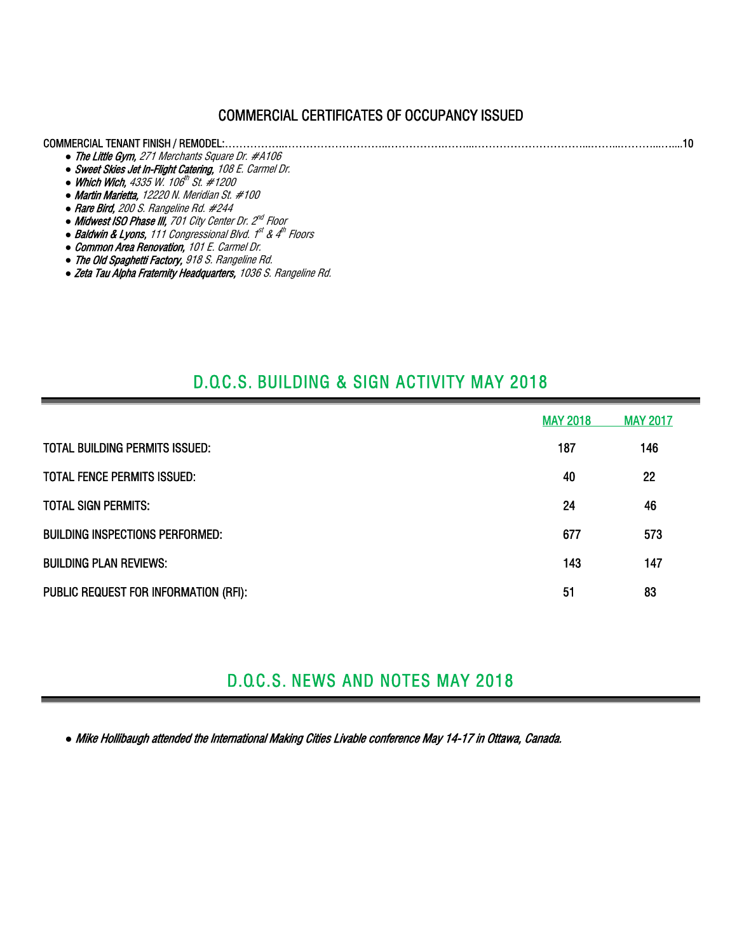## COMMERCIAL CERTIFICATES OF OCCUPANCY ISSUED

#### COMMERCIAL TENANT FINISH / REMODEL:……………..………………………..…………….……...…………………………...……...………...…....10 *●* The Little Gym, 271 Merchants Square Dr. #A106 *●* Sweet Skies Jet In-Flight Catering, 108 E. Carmel Dr.

- Which Wich, 4335 W. 106<sup>th</sup> St. #1200
- *●* Martin Marietta, 12220 N. Meridian St. #100
- *●* Rare Bird, 200 S. Rangeline Rd. #244
- *●* Midwest ISO Phase III, 701 City Center Dr. 2nd Floor
- **Baldwin & Lyons**, 111 Congressional Blvd. 1<sup>st</sup> & 4<sup>th</sup> Floors
- *●* Common Area Renovation, 101 E. Carmel Dr.
- *●* The Old Spaghetti Factory, 918 S. Rangeline Rd.
- *●* Zeta Tau Alpha Fraternity Headquarters, 1036 S. Rangeline Rd.

# D.O.C.S. BUILDING & SIGN ACTIVITY MAY 2018

|                                        | <b>MAY 2018</b> | <b>MAY 2017</b> |
|----------------------------------------|-----------------|-----------------|
| TOTAL BUILDING PERMITS ISSUED:         | 187             | 146             |
| TOTAL FENCE PERMITS ISSUED:            | 40              | 22              |
| <b>TOTAL SIGN PERMITS:</b>             | 24              | 46              |
| <b>BUILDING INSPECTIONS PERFORMED:</b> | 677             | 573             |
| <b>BUILDING PLAN REVIEWS:</b>          | 143             | 147             |
| PUBLIC REQUEST FOR INFORMATION (RFI):  | 51              | 83              |

# D.O.C.S. NEWS AND NOTES MAY 2018

*●* Mike Hollibaugh attended the International Making Cities Livable conference May 14-17 in Ottawa, Canada.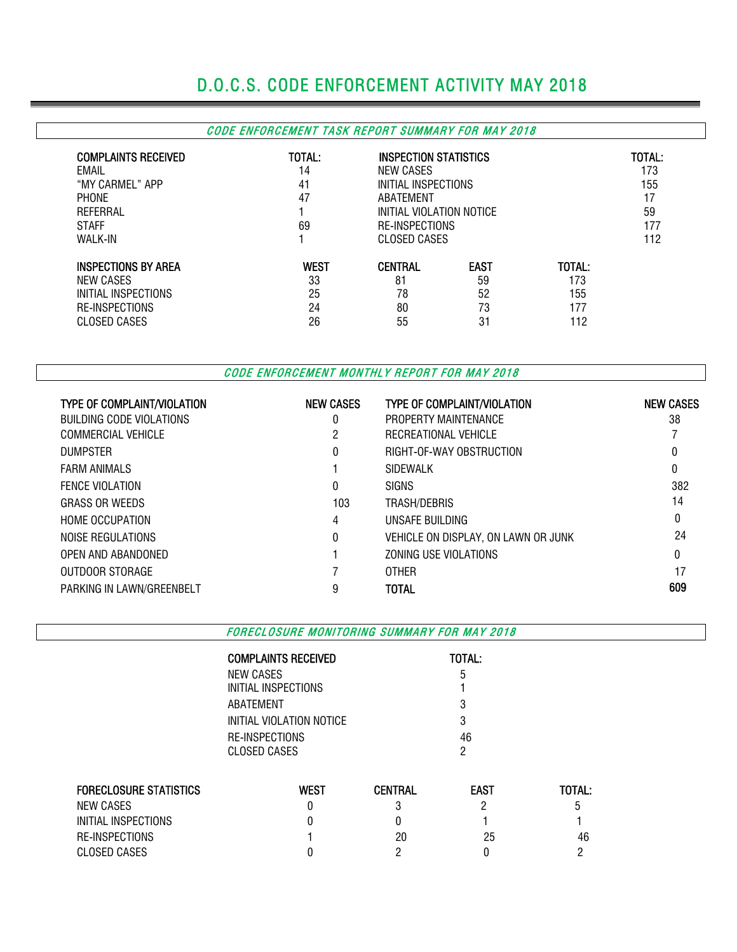# D.O.C.S. CODE ENFORCEMENT ACTIVITY MAY 2018

## CODE ENFORCEMENT TASK REPORT SUMMARY FOR MAY 2018

| <b>COMPLAINTS RECEIVED</b><br>EMAIL<br>"MY CARMEL" APP<br><b>PHONE</b><br>REFERRAL<br><b>STAFF</b><br><b>WALK-IN</b> | TOTAL:<br>14<br>41<br>47<br>69 | INSPECTION STATISTICS<br>NEW CASES<br>INITIAL INSPECTIONS<br>ABATFMENT<br>INITIAL VIOLATION NOTICE<br>RE-INSPECTIONS<br>CLOSED CASES |             |        | TOTAL:<br>173<br>155<br>17<br>59<br>177<br>112 |
|----------------------------------------------------------------------------------------------------------------------|--------------------------------|--------------------------------------------------------------------------------------------------------------------------------------|-------------|--------|------------------------------------------------|
| <b>INSPECTIONS BY AREA</b>                                                                                           | <b>WEST</b>                    | <b>CENTRAL</b>                                                                                                                       | <b>EAST</b> | TOTAL: |                                                |
| NEW CASES                                                                                                            | 33                             | 81                                                                                                                                   | 59          | 173    |                                                |
| INITIAL INSPECTIONS                                                                                                  | 25                             | 78                                                                                                                                   | 52          | 155    |                                                |
| <b>RE-INSPECTIONS</b>                                                                                                | 24                             | 80                                                                                                                                   | 73          | 177    |                                                |
| CLOSED CASES                                                                                                         | 26                             | 55                                                                                                                                   | 31          | 112    |                                                |

CODE ENFORCEMENT MONTHLY REPORT FOR MAY 2018

| <b>TYPE OF COMPLAINT/VIOLATION</b> | <b>NEW CASES</b> | <b>TYPE OF COMPLAINT/VIOLATION</b>  | <b>NEW CASES</b> |
|------------------------------------|------------------|-------------------------------------|------------------|
| BUILDING CODE VIOLATIONS           | 0                | PROPERTY MAINTENANCE                | 38               |
| COMMERCIAL VEHICLE                 | 2                | RECREATIONAL VEHICLE                |                  |
| <b>DUMPSTER</b>                    | 0                | RIGHT-OF-WAY OBSTRUCTION            | 0                |
| <b>FARM ANIMALS</b>                |                  | <b>SIDEWALK</b>                     | 0                |
| <b>FENCE VIOLATION</b>             | 0                | <b>SIGNS</b>                        | 382              |
| <b>GRASS OR WEEDS</b>              | 103              | TRASH/DEBRIS                        | 14               |
| <b>HOME OCCUPATION</b>             | 4                | UNSAFE BUILDING                     | 0                |
| NOISE REGULATIONS                  | $\theta$         | VEHICLE ON DISPLAY, ON LAWN OR JUNK | 24               |
| OPEN AND ABANDONED                 |                  | ZONING USE VIOLATIONS               | 0                |
| OUTDOOR STORAGE                    |                  | <b>OTHER</b>                        | 17               |
| PARKING IN LAWN/GREENBELT          | 9                | <b>TOTAL</b>                        | 609              |

FORECLOSURE MONITORING SUMMARY FOR MAY 2018

| <b>COMPLAINTS RECEIVED</b> | TOTAL: |
|----------------------------|--------|
| NEW CASES                  | 5      |
| INITIAL INSPECTIONS        |        |
| ABATEMENT                  | 3      |
| INITIAL VIOLATION NOTICE   | 3      |
| RE-INSPECTIONS             | 46     |
| <b>CLOSED CASES</b>        | 2      |
|                            |        |

| <b>FORECLOSURE STATISTICS</b> | West | CENTRAL | <b>EAST</b> | TOTAL: |
|-------------------------------|------|---------|-------------|--------|
| NEW CASES                     |      |         |             | b      |
| INITIAL INSPECTIONS           |      |         |             |        |
| RE-INSPECTIONS                |      | 20      | 25          | 46     |
| CLOSED CASES                  |      |         |             |        |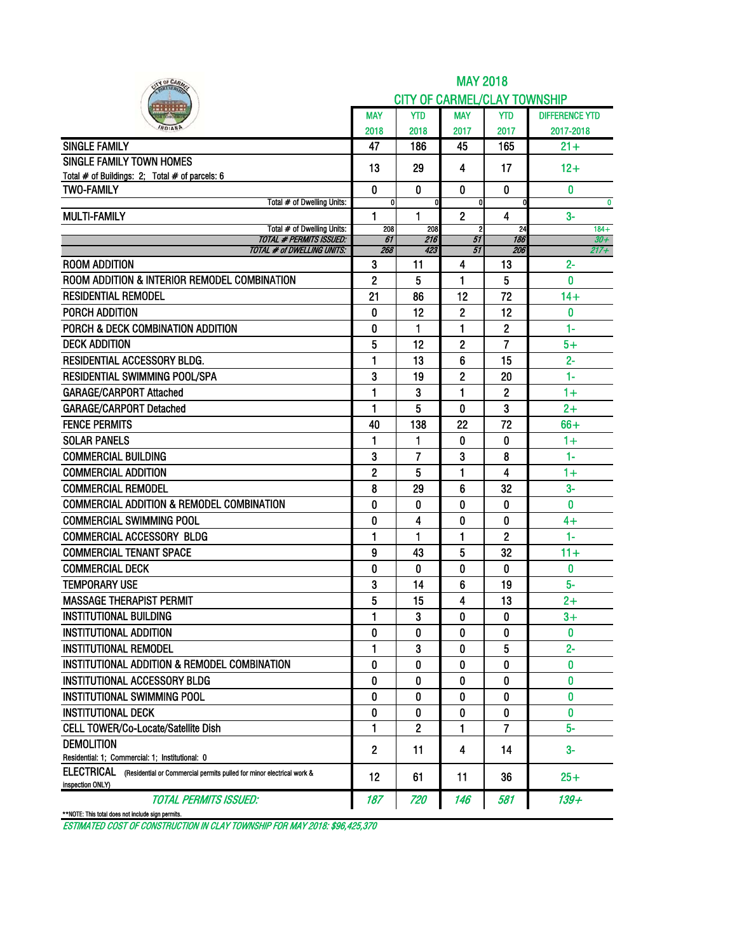| IY OF CARM                                                                                              |                |          | <b>MAY 2018</b>                     |                |                       |
|---------------------------------------------------------------------------------------------------------|----------------|----------|-------------------------------------|----------------|-----------------------|
|                                                                                                         |                |          | <b>CITY OF CARMEL/CLAY TOWNSHIP</b> |                |                       |
|                                                                                                         | <b>MAY</b>     | YTD      | MAY                                 | <b>YTD</b>     | <b>DIFFERENCE YTD</b> |
|                                                                                                         | 2018           | 2018     | 2017                                | 2017           | 2017-2018             |
| <b>SINGLE FAMILY</b>                                                                                    | 47             | 186      | 45                                  | 165            | $21 +$                |
| <b>SINGLE FAMILY TOWN HOMES</b>                                                                         | 13             | 29       | 4                                   | 17             | $12+$                 |
| Total # of Buildings: 2; Total # of parcels: 6                                                          |                |          |                                     |                |                       |
| <b>TWO-FAMILY</b>                                                                                       | 0              | $\bf{0}$ | 0                                   | 0              | $\bf{0}$              |
| Total # of Dwelling Units:                                                                              | 0              |          | $\mathbf{0}$                        | 0              | $\mathbf{0}$          |
| <b>MULTI-FAMILY</b><br>Total # of Dwelling Units:                                                       | 1<br>208       | 1<br>208 | $\overline{2}$<br>$\overline{2}$    | 4<br>24        | $3-$<br>$184 +$       |
| <b>TOTAL # PERMITS ISSUED:</b>                                                                          | 61             | 216      | 51                                  | 186            | $30 +$                |
| <b>TOTAL # of DWELLING UNITS:</b>                                                                       | 268            | 423      | 51                                  | 206            | $217 +$               |
| <b>ROOM ADDITION</b>                                                                                    | 3              | 11       | 4                                   | 13             | $2 -$                 |
| ROOM ADDITION & INTERIOR REMODEL COMBINATION                                                            | $\overline{2}$ | 5        | 1                                   | 5              | 0                     |
| <b>RESIDENTIAL REMODEL</b>                                                                              | 21             | 86       | 12                                  | 72             | $14+$                 |
| PORCH ADDITION                                                                                          | 0              | 12       | 2                                   | 12             | 0                     |
| PORCH & DECK COMBINATION ADDITION                                                                       | 0              | 1        | 1                                   | 2              | 1-                    |
| <b>DECK ADDITION</b>                                                                                    | 5              | 12       | $\overline{2}$                      | 7              | $5+$                  |
| RESIDENTIAL ACCESSORY BLDG.                                                                             | 1              | 13       | 6                                   | 15             | $2 -$                 |
| <b>RESIDENTIAL SWIMMING POOL/SPA</b>                                                                    | 3              | 19       | 2                                   | 20             | $1-$                  |
| <b>GARAGE/CARPORT Attached</b>                                                                          | 1              | 3        | 1                                   | $\overline{c}$ | $1+$                  |
| <b>GARAGE/CARPORT Detached</b>                                                                          | 1              | 5        | 0                                   | 3              | $2+$                  |
| <b>FENCE PERMITS</b>                                                                                    | 40             | 138      | 22                                  | 72             | $66+$                 |
| <b>SOLAR PANELS</b>                                                                                     | 1              | 1        | 0                                   | $\mathbf{0}$   | $1+$                  |
| <b>COMMERCIAL BUILDING</b>                                                                              | 3              | 7        | 3                                   | 8              | 1-                    |
| <b>COMMERCIAL ADDITION</b>                                                                              | $\overline{2}$ | 5        | 1                                   | 4              | $1+$                  |
| <b>COMMERCIAL REMODEL</b>                                                                               | 8              | 29       | 6                                   | 32             | $3-$                  |
| <b>COMMERCIAL ADDITION &amp; REMODEL COMBINATION</b>                                                    | 0              | 0        | 0                                   | 0              | 0                     |
| <b>COMMERCIAL SWIMMING POOL</b>                                                                         | 0              | 4        | 0                                   | 0              | $4+$                  |
| <b>COMMERCIAL ACCESSORY BLDG</b>                                                                        | $\mathbf{1}$   | 1        | $\blacksquare$                      | $\overline{c}$ | $1 -$                 |
| <b>COMMERCIAL TENANT SPACE</b>                                                                          | 9              | 43       | 5                                   | 32             | $11 +$                |
| <b>COMMERCIAL DECK</b>                                                                                  | 0              | 0        | 0                                   | $\bf{0}$       | $\bf{0}$              |
| <b>TEMPORARY USE</b>                                                                                    | 3              | 14       | 6                                   | 19             | 5-                    |
| <b>MASSAGE THERAPIST PERMIT</b>                                                                         | 5              | 15       | 4                                   | 13             | $2+$                  |
| <b>INSTITUTIONAL BUILDING</b>                                                                           | ı              | 3        | U                                   | o              | $3+$                  |
| <b>INSTITUTIONAL ADDITION</b>                                                                           | 0              | 0        | 0                                   | 0              | 0                     |
| <b>INSTITUTIONAL REMODEL</b>                                                                            | 1              | 3        | 0                                   | 5              | $2 -$                 |
| INSTITUTIONAL ADDITION & REMODEL COMBINATION                                                            | 0              | 0        | 0                                   | 0              | 0                     |
| <b>INSTITUTIONAL ACCESSORY BLDG</b>                                                                     | 0              | 0        | 0                                   | 0              | 0                     |
| INSTITUTIONAL SWIMMING POOL                                                                             | 0              | 0        | 0                                   | 0              | 0                     |
| <b>INSTITUTIONAL DECK</b>                                                                               | 0              | 0        | 0                                   | 0              | 0                     |
| CELL TOWER/Co-Locate/Satellite Dish                                                                     | 1              | 2        | 1                                   | 7              | $5-$                  |
| <b>DEMOLITION</b>                                                                                       |                |          |                                     |                |                       |
| Residential: 1: Commercial: 1: Institutional: 0                                                         | $\mathbf{2}$   | 11       | 4                                   | 14             | $3-$                  |
| ELECTRICAL<br>(Residential or Commercial permits pulled for minor electrical work &<br>inspection ONLY) | 12             | 61       | 11                                  | 36             | $25+$                 |
| <b>TOTAL PERMITS ISSUED:</b>                                                                            | 187            | 720      | 146                                 | 581            | 139+                  |
| **NOTE: This total does not include sign permits.                                                       |                |          |                                     |                |                       |

ESTIMATED COST OF CONSTRUCTION IN CLAY TOWNSHIP FOR MAY 2018: \$96,425,370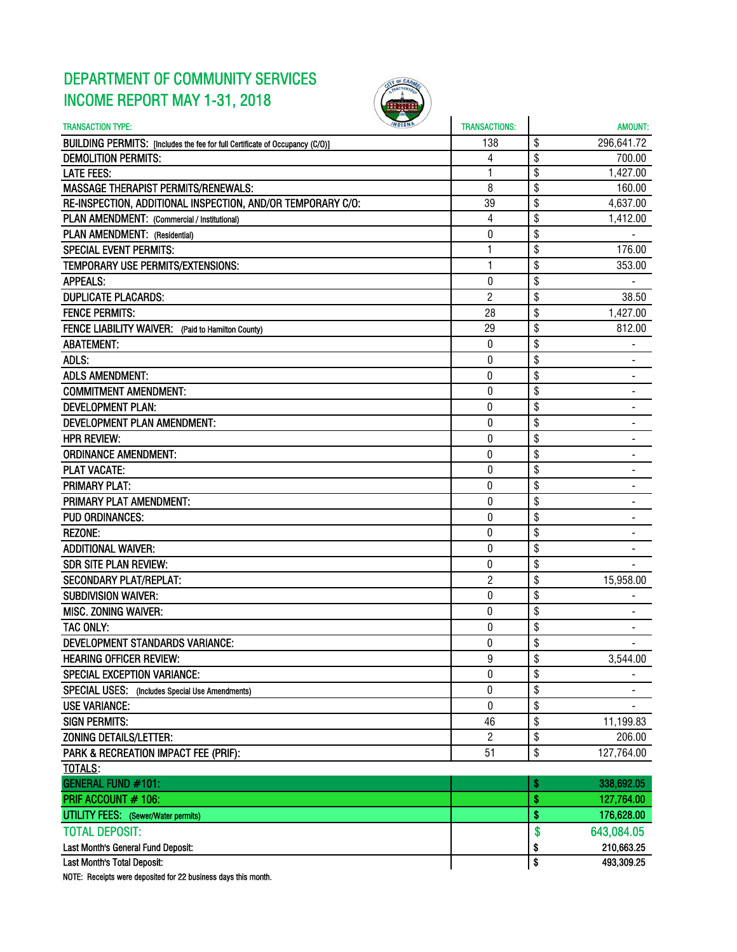# DEPARTMENT OF COMMUNITY SERVICES INCOME REPORT MAY 1-31, 2018



| <b>TRANSACTION TYPE:</b>                                                     | <b>TRANSACTIONS:</b> | AMOUNT:                        |
|------------------------------------------------------------------------------|----------------------|--------------------------------|
| BUILDING PERMITS: [Includes the fee for full Certificate of Occupancy (C/O)] | 138                  | \$<br>296,641.72               |
| <b>DEMOLITION PERMITS:</b>                                                   | 4                    | \$<br>700.00                   |
| <b>LATE FEES:</b>                                                            | 1                    | \$<br>1,427.00                 |
| <b>MASSAGE THERAPIST PERMITS/RENEWALS:</b>                                   | 8                    | \$<br>160.00                   |
| RE-INSPECTION, ADDITIONAL INSPECTION, AND/OR TEMPORARY C/O:                  | 39                   | \$<br>4,637.00                 |
| PLAN AMENDMENT: (Commercial / Institutional)                                 | 4                    | \$<br>1,412.00                 |
| PLAN AMENDMENT: (Residential)                                                | 0                    | \$                             |
| <b>SPECIAL EVENT PERMITS:</b>                                                | 1                    | \$<br>176.00                   |
| TEMPORARY USE PERMITS/EXTENSIONS:                                            | $\mathbf{1}$         | \$<br>353.00                   |
| <b>APPEALS:</b>                                                              | 0                    | \$                             |
| <b>DUPLICATE PLACARDS:</b>                                                   | $\overline{c}$       | \$<br>38.50                    |
| <b>FENCE PERMITS:</b>                                                        | 28                   | \$<br>1,427.00                 |
| FENCE LIABILITY WAIVER: (Paid to Hamilton County)                            | 29                   | \$<br>812.00                   |
| <b>ABATEMENT:</b>                                                            | 0                    | \$                             |
| ADLS:                                                                        | 0                    | \$                             |
| <b>ADLS AMENDMENT:</b>                                                       | 0                    | \$<br>-                        |
| <b>COMMITMENT AMENDMENT:</b>                                                 | 0                    | \$<br>۰                        |
| <b>DEVELOPMENT PLAN:</b>                                                     | 0                    | \$                             |
| <b>DEVELOPMENT PLAN AMENDMENT:</b>                                           | $\mathbf{0}$         | \$                             |
| <b>HPR REVIEW:</b>                                                           | 0                    | \$                             |
| <b>ORDINANCE AMENDMENT:</b>                                                  | 0                    | \$                             |
| <b>PLAT VACATE:</b>                                                          | 0                    | \$<br>۰                        |
| <b>PRIMARY PLAT:</b>                                                         | 0                    | \$                             |
| PRIMARY PLAT AMENDMENT:                                                      | 0                    | \$                             |
| <b>PUD ORDINANCES:</b>                                                       | 0                    | \$                             |
| <b>REZONE:</b>                                                               | $\mathbf 0$          | \$                             |
| <b>ADDITIONAL WAIVER:</b>                                                    | $\pmb{0}$            | \$                             |
| <b>SDR SITE PLAN REVIEW:</b>                                                 | 0                    | \$                             |
| <b>SECONDARY PLAT/REPLAT:</b>                                                | $\overline{2}$       | \$<br>15,958.00                |
| <b>SUBDIVISION WAIVER:</b>                                                   | 0                    | \$                             |
| <b>MISC. ZONING WAIVER:</b>                                                  | 0                    | \$                             |
| TAC ONLY:                                                                    | 0                    | \$                             |
| DEVELOPMENT STANDARDS VARIANCE:                                              | 0                    | \$<br>$\overline{\phantom{0}}$ |
| <b>HEARING OFFICER REVIEW:</b>                                               | 9                    | \$<br>3,544.00                 |
| <b>SPECIAL EXCEPTION VARIANCE:</b>                                           | $\mathbf{0}$         | \$                             |
| SPECIAL USES: (Includes Special Use Amendments)                              | 0                    | \$                             |
| <b>USE VARIANCE:</b>                                                         | $\bf{0}$             | \$                             |
| <b>SIGN PERMITS:</b>                                                         | 46                   | \$<br>11,199.83                |
| ZONING DETAILS/LETTER:                                                       | $\overline{2}$       | \$<br>206.00                   |
| PARK & RECREATION IMPACT FEE (PRIF):                                         | 51                   | \$<br>127,764.00               |
| <b>TOTALS:</b>                                                               |                      |                                |
| GENERAL FUND #101:                                                           |                      | \$<br>338,692.05               |
| PRIF ACCOUNT # 106:                                                          |                      | \$<br>127,764.00               |
| <b>UTILITY FEES:</b> (Sewer/Water permits)                                   |                      | \$<br>176,628.00               |
| <b>TOTAL DEPOSIT:</b>                                                        |                      | \$<br>643,084.05               |
| Last Month's General Fund Deposit:                                           |                      | \$<br>210,663.25               |
| Last Month's Total Deposit:                                                  |                      | \$<br>493,309.25               |
|                                                                              |                      |                                |

NOTE: Receipts were deposited for 22 business days this month.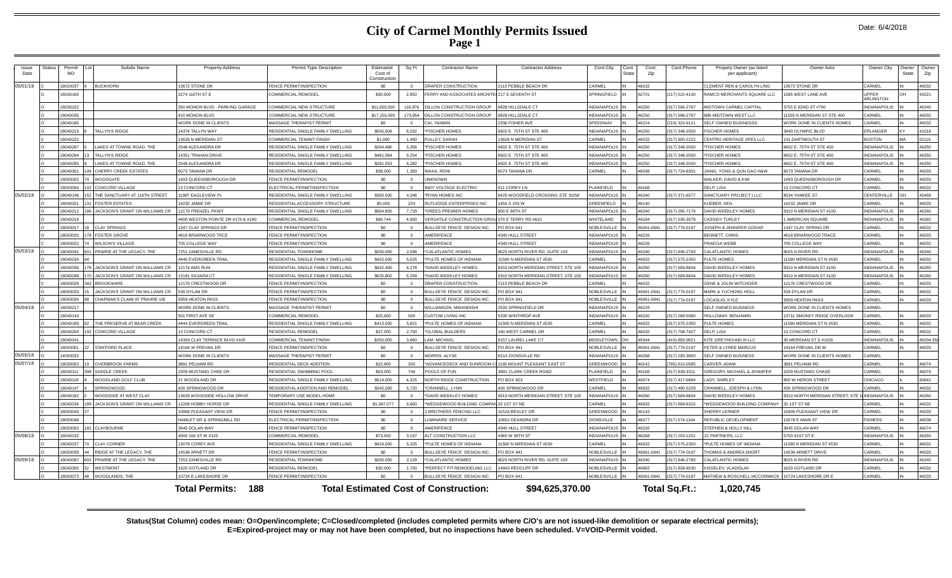--

| Issue<br>Date                                                                                                                 | Status | Permit<br><b>NO</b> |  | Subdiv Name                          | <b>Property Address</b>            | Permit Type Description                 | Estimated<br>Cost of<br>Constructio | Sq Ft        | <b>Contractor Name</b>                                | <b>Contractor Address</b>           | Cont.City           | Cont.<br><b>State</b> | Cont.<br>Zip | Cont.Phone     | Propety Owner (as listed<br>per applicant) | Owner Adrs                        | Owner City                        | Owner<br>State | Owner<br>Zip |
|-------------------------------------------------------------------------------------------------------------------------------|--------|---------------------|--|--------------------------------------|------------------------------------|-----------------------------------------|-------------------------------------|--------------|-------------------------------------------------------|-------------------------------------|---------------------|-----------------------|--------------|----------------|--------------------------------------------|-----------------------------------|-----------------------------------|----------------|--------------|
| 05/01/18                                                                                                                      |        | 8020037             |  | <b>BUCKHORN</b>                      | 3672 STONE DR                      | <b>ENCE PERMIT/INSPECTION</b>           | \$0                                 |              | DRAPER CONSTRUCTION                                   | 2113 PEBBLE BEACH DR                | CARMEL              |                       | 46032        |                | CLEMENT REN & CAROLYN LING                 | 3672 STONE DR                     | CARMEL                            |                | 46032        |
|                                                                                                                               |        | 18030160            |  |                                      | 2274 116TH ST E                    | COMMERCIAL REMODEL                      | \$30,000                            | 2.950        | FERRY AND ASSOCIATES ARCHITE(217 S SEVENTH ST         |                                     | SPRINGFIELD         |                       | 62701        | (217) 522-4100 | RAMCO MERCHANTS SQUARE LLC                 | 585 WEST LANE AVE                 | <b>IPPFR</b><br><b>ARI INGTON</b> | ЭH             | 43221        |
|                                                                                                                               |        | 18030222            |  |                                      | 350 MONON BLVD - PARKING GARAGE    | COMMERCIAL NEW STRUCTURE                | \$11,600,000                        |              | 116.876 DILLON CONSTRUCTION GROUP                     | 6828 HILLSDALE CT                   | <b>INDIANAPOLIS</b> |                       | 46250        | (317) 596-2767 | MIDTOWN CARMEL CAPITAL                     | 3755 E 82ND ST #700               | <b>INDIANAPOLIS</b>               |                | 46240        |
|                                                                                                                               |        | 18040035            |  |                                      | 110 MONON BI VD                    | COMMERCIAL NEW STRUCTURE                | \$17,155,000                        |              | 173.954 DILLON CONSTRUCTION GROUP                     | 6828 HILLSDALE CT                   | INDIANAPOLIS IN     |                       | 46250        | 317) 596-2767  | MBI MIDTOWN WEST LLC                       | 1555 N MERIDIAN ST STE 400        | CARMEL                            |                | 46032        |
|                                                                                                                               |        | 18040185            |  |                                      | <b><i>NORK DONE IN CLIENTS</i></b> | <b>MASSAGE THERAPIST PERMIT</b>         | \$0                                 | $\Omega$     | CAI, YANMIN                                           | 2336 FISHER AVE                     | PEEDWAY             |                       | 16224        | 219) 323-9121  | SELF OWNED BUSINESSS                       | <b>VORK DONE IN CLIENTS HOMES</b> | CARMEL                            |                | 46032        |
|                                                                                                                               |        | 1804021             |  | TALLYN'S RIDGE                       | 14374 TALLYN WAY                   | RESIDENTIAL SINGLE FAMILY DWELLING      | \$500,508                           | 8.032        | *FISCHER HOMES                                        | 6602 E. 75TH ST STE 400             | INDIANAPOLIS        |                       | 46250        | (317) 348-2500 | <b>FISCHER HOMES</b>                       | 3940 OLYMPIC BLVD                 | ERLANGER                          | KY             | 41018        |
|                                                                                                                               |        | 18040222            |  |                                      | 3628 N MERIDIAN ST                 | COMMERCIAL TENANT FINISH                | \$1,000                             | 1.400        | PULLEY, SARAH                                         | 13628 N MERIDIAN ST                 | CARMEL              |                       | 46032        | 317) 900-2222  | CENTRO HERITAGE SPE5 LLC                   | 31 DARTMOUTH ST                   | <b>BOSTON</b>                     | MA             | 02116        |
|                                                                                                                               |        | 18040287            |  | AKES AT TOWNE ROAD, THE              | <b>548 ALEXANDRA DR</b>            | RESIDENTIAL SINGLE FAMILY DWELLING      | \$264,480                           | 5,356        | *FISCHER HOMES                                        | 6602 E. 75TH ST STE 400             | <b>INDIANAPOLIS</b> |                       | 46250        | 317) 348-2500  | *FISCHER HOMES                             | 602 E. 75TH ST STE 400            | <b>INDIANAPOLIS</b>               |                | 46250        |
|                                                                                                                               |        | 18040294            |  | <b>TALLYN'S RIDGE</b>                | 4351 TRAHAN DRIVE                  | RESIDENTIAL SINGLE FAMILY DWELLING      | \$461.584                           | 9.254        | *FISCHER HOMES                                        | 6602 E. 75TH ST STE 400             | <b>INDIANAPOLIS</b> |                       | 46250        | (317) 348-2500 | <b>*FISCHER HOMES</b>                      | 6602 E. 75TH ST STE 400           | <b>INDIANAPOLIS</b>               |                | 46250        |
|                                                                                                                               |        | 8040295             |  | AKES AT TOWNE ROAD, THE              | <b>549 ALEXANDRA DR</b>            | RESIDENTIAL SINGLE FAMILY DWELLING      | \$281,553                           | 6,282        | <b>FISCHER HOMES</b>                                  | 6602 E. 75TH ST STE 400             | <b>INDIANAPOLIS</b> |                       | 6250         | 317) 348-2500  | <b>FISCHER HOMES</b>                       | 602 E. 75TH ST STE 400            | NDIANAPOLIS                       |                | 46250        |
|                                                                                                                               |        | 1804030             |  | CHERRY CREEK ESTATES                 | 6073 TANANA DR                     | RESIDENTIAL REMODE                      | \$38,000                            | 1.300        | WAXA RON                                              | 6073 TANANA DR                      | CARMEL              |                       | 46038        | (317) 724-8301 | JIANG, YONG & QUN GAO H&W                  | 6073 TANANA DF                    | CARMEL                            |                | 46033        |
|                                                                                                                               |        | 8050002             |  | WOODGATE                             | 493 QUEENSBOROUGH DR               | <b>ENCE PERMIT/INSPECTION</b>           | \$0                                 | $\mathbf{0}$ | <b>UNKNOWN</b>                                        |                                     |                     |                       |              |                | WALKER, DAVID & KIM                        | 493 QUEENSBOROUGH DR              | CARMEL                            |                | 46033        |
|                                                                                                                               |        | 8050004             |  | <b>CONCORD VILLAGE</b>               | 3 CONCORD CT                       | LECTRICAL PERMIT/INSPECTION             | sn.                                 | $\Omega$     | INDY VOLTAGE ELECTRIC                                 | <b>911 COREY LN</b>                 | PLAINFIELD          |                       | 46168        |                | DELP, LISA                                 | 3 CONCORD CT                      | CARMEL                            |                | 46032        |
| 05/02/18                                                                                                                      |        | 18040148            |  | HE SANCTUARY AT 116TH STREET         | 1987 EAGLEVIEW PI                  | RESIDENTIAL SINGLE FAMILY DWELLING      | \$305,000                           | 4.346        | *RYAN HOMES INC                                       | 8425 WOODFIELD CROSSING STE 310W    | <b>NDIANAPOLIS</b>  |                       | 46240        | 317) 371-6577  | SANCTUARY PROJECT I LLC                    | <b>3534 YANKEE ST</b>             | CENTERVILLE                       | OH             | 45458        |
|                                                                                                                               |        | 1804020             |  | <b>FOSTER ESTATES</b>                | 4232 JAMIE DR                      | RESIDENTIAL ACCESSORY STRUCTURE         | \$5,000                             | 224          | RUTLEDGE ENTERPRISES INC                              | 1454 S 150 W                        | GREENFIELD          |                       | 46140        |                | KUFBER, KEN                                | 14232 JAMIF DR                    | CARMEL                            |                | 46033        |
|                                                                                                                               |        | 18040212            |  | JACKSON'S GRANT ON WILLIAMS CR       | 2179 FRENZEL PKWY                  | RESIDENTIAL SINGLE FAMILY DWELLING      | \$564,800                           | 7.733        | *DREES PREMIER HOMES                                  | 900 E 96TH ST                       | <b>INDIANAPOLIS</b> |                       | 46240        | 317) 295-7176  | DAVID WEEKLEY HOMES                        | 310 N MERIDIAN ST #100            | <b>INDIANAPOLIS</b>               |                | 46260        |
|                                                                                                                               |        | 18040218            |  |                                      | 4400 WESTON POINTE DR #170 & #180  | COMMERCIAL REMODEL                      | \$96,744                            | 4.800        | VERSATILE CONSTRUCTION GROU 570 E TERRY RD #610       |                                     | <b>NHITELAND</b>    |                       | 46184        | (317) 535-3579 | CASSIDY TURLEY                             | AMERICAN SQUARE                   | INDIANAPOLIS                      |                | 46282        |
|                                                                                                                               |        | 18050017            |  | <b>CLAY SPRINGS</b>                  | 347 CLAY SPRINGS DR                | <b>ENCE PERMIT/INSPECTION</b>           | \$0                                 | $\Omega$     | BULLSEYE FENCE DESIGN INC.                            | PO BOX 941                          | <b>IOBLESVILLE</b>  |                       | 16061-0941   | 317) 774-0197  | JOSEPH & JENNIFER GODAR                    | 347 CLAY SPRING DR                | CARMEL                            |                | 46032        |
|                                                                                                                               |        | 18050020            |  | <b>FOSTER GROVE</b>                  | <b>4618 BRIARWOOD TRCE</b>         | <b>ENCE PERMIT/INSPECTION</b>           | \$0                                 |              | AMERIFENCE                                            | 4340 HULL STREE                     | INDIANAPOLIS        |                       | 16226        |                | BENNETT, CHRIS                             | 4618 BRIARWOOD TRACK              | CARMEL                            |                | 46033        |
|                                                                                                                               |        | 18050022            |  | <b>WILSON'S VILLAGE</b>              | 705 COLLEGE WAY                    | FENCE PERMIT/INSPECTION                 | S <sub>0</sub>                      | $\Omega$     | AMERIFENCE                                            | 4340 HULL STREET                    | <b>INDIANAPOLIS</b> |                       | 46226        |                | PRAECIA WEBB                               | 705 COLLEGE WAY                   | CARMEL                            |                | 46032        |
| 05/03/18                                                                                                                      |        | 18040041            |  | PRAIRIE AT THE LEGACY. THE           | 7251 ZANESVILLE RD                 | <b>RESIDENTIAL TOWNHOME</b>             | \$200,000                           | 2.596        | *CALATLANTIC HOMES                                    | 9025 NORTH RIVER RD, SUITE 100      | INDIANAPOLIS IN     |                       | 46240        | (317) 846-2783 | CALATLANTIC HOMES                          | <b>9025 N RIVER RD</b>            | INDIANAPOLIS                      |                | 46240        |
|                                                                                                                               |        | 8040234             |  |                                      | 440 EVERGREEN TRAIL                | RESIDENTIAL SINGLE FAMILY DWELLING      | \$420,000                           | 5.525        | *PULTE HOMES OF INDIANA                               | 11590 N MERIDIAN ST #530            | ARMEI               |                       | 16032        | 317) 575-2350  | PULTE HOMES                                | 1590 MERIDIAN ST N #530           | <b>ARMEL</b>                      |                | 16032        |
|                                                                                                                               |        | 18040296            |  | JACKSON'S GRANT ON WILLIAMS CR       | <b>2174 AMS RUN</b>                | RESIDENTIAL SINGLE FAMILY DWELLING      | \$632,400                           | 6.278        | *DAVID WEEKLEY HOMES                                  | 9310 NORTH MERIDIAN STREET, STE 100 | INDIANAPOLIS IN     |                       | 02601        | 317) 669-8604  | DAVID WEEKLEY HOMES                        | 3310 N MERIDIAN ST #10            | INDIANAPOLIS                      |                | 46260        |
|                                                                                                                               |        | 18040298            |  | <b>ACKSON'S GRANT ON WILLIAMS CR</b> | 2191 SILVARA CT                    | RESIDENTIAL SINGLE FAMILY DWELLING      | \$635,800                           | 6.269        | *DAVID WEEKLEY HOMES                                  | 9310 NORTH MERIDIAN STREET, STE 100 | INDIANAPOLIS IN     |                       | 46260        | 317) 669-8604  | DAVID WEEKLEY HOMES                        | 310 N MERIDIAN ST #100            | <b>INDIANAPOLIS</b>               |                | 46260        |
|                                                                                                                               |        | 8050028             |  | <b>BROOKSHIRE</b>                    | 2176 CRESTWOOD DR                  | FENCE PERMIT/INSPECTION                 | \$0                                 |              | DRAPER CONSTRUCTION                                   | 2113 PEBBLE BEACH DR                | ARMEL               |                       | 46032        |                | <b>GENE &amp; JOLIN WITCHGER</b>           | 2176 CRESTWOOD DR                 | CARMEL                            |                | 46033        |
|                                                                                                                               |        | 18050033            |  | JACKSON'S GRANT ON WILLIAMS CR       | 539 DYLAN DR                       | <b>ENCE PERMIT/INSPECTION</b>           | \$0                                 | $\Omega$     | BULLSEYE FENCE DESIGN INC.                            | PO BOX 941                          | NOBLESVILLE         |                       | 46061-0941   | (317) 774-0197 | <b>MARK &amp; YUCHONG HOLL</b>             | 539 DYLAN DR                      | CARMEL                            |                | 46032        |
|                                                                                                                               |        | 805003              |  | HAPMAN'S CLAIM AT PRAIRIE VIE        | 959 HEATON PASS                    | <b>ENCE PERMIT/INSPECTION</b>           | \$0                                 |              | BULLSEYE FENCE DESIGN INC                             | PO BOX 941                          | NOBLESVILLE         |                       | 6061-094     | 17) 774-0197   | OCASLIO, KYLE                              | <b>959 HEATON PASS</b>            | CARME                             |                | 46033        |
| 05/04/18                                                                                                                      |        | 18030213            |  |                                      | <b><i>NORK DONE IN CLIENTS</i></b> | <b>MASSAGE THERAPIST PERMIT</b>         | \$0                                 |              | WILLIAMSON, MWANDISHI                                 | 2530 SPRINGFIELD DR                 | INDIANAPOLIS        |                       | 16228        |                | SELF OWNED BUSINESS                        | VORK DONE IN CLIENTS HOMES        | CARMEI                            |                |              |
|                                                                                                                               |        | 18040143            |  |                                      | 601 FIRST AVE SE                   | COMMERCIAL REMODEL                      | \$25,000                            | 500          | <b>CUSTOM LIVING INC</b>                              | 5335 WINTHROP AVE                   | <b>INDIANAPOLIS</b> |                       | 16220        | (317) 289-5990 | HOLLOWAY, BENJAMIN                         | 13711 SMOKEY RIDGE OVERLOOK       | CARMEI                            |                | 46033        |
|                                                                                                                               |        | 8040189             |  | THE PRESERVE AT BEAR CREEK           | 444 EVERGREEN TRAIL                | RESIDENTIAL SINGLE FAMILY DWELLING      | \$413,000                           | 5.821        | *PULTE HOMES OF INDIANA                               | 1590 N MERIDIAN ST #530             | CARMEL              |                       | 46032        | 317) 575-2350  | PULTE HOMES                                | 1590 MERIDIAN ST N #530           | <b>ARMEL</b>                      |                | 46032        |
|                                                                                                                               |        | 8040204             |  | CONCORD VILLAGE                      | 3 CONCORD CT                       | RESIDENTIAL REMODEL                     | \$27,000                            | 2.700        | <b>"GLOBAL BUILDERS</b>                               | <b>160 WEST CARMEL DR</b>           | CARMEL              |                       | 6032         | 317) 708-7427  | DELP, LISA                                 | 3 CONCORD CT                      | CARMEL                            |                | 46032        |
|                                                                                                                               |        | 1804024             |  |                                      | 4300 CLAY TERRACE BLVD #100        | COMMERCIAL TENANT FINISH                | \$250,000                           | 3.660        | AM. MICHAFI                                           | 8157 LAUREL LAKE CT                 | <b>MIDDLETOWN</b>   | <b>IOF</b>            | 45044        | (419) 893-9021 | KITE GREYHOUND III LLC                     | <b>80 MERIDIAN ST S #1100</b>     | INDIANAPOLIS                      |                | 46204 356    |
|                                                                                                                               |        | 18050001            |  | STAFFORD PLACE                       | 4164 W PREVAIL DR                  | <b>ENCE PERMIT/INSPECTION</b>           | \$0                                 | $\Omega$     | BULLSEYE FENCE DESIGN INC.                            | PO BOX 941                          | <b>NOBLESVILLE</b>  |                       | 46061-0941   | (317) 774-0197 | PETER & LYREE MARCUS                       | 4164 PREVAIL DR W                 | CARMEL                            |                | 46033        |
| 05/05/18                                                                                                                      |        | 14050032            |  |                                      | <b><i>NORK DONE IN CLIENTS</i></b> | <b>MASSAGE THERAPIST PERMIT</b>         | \$0                                 | $\Omega$     | MORRIS ALYSE                                          | 6214 ZIONSVILLE RD                  | <b>INDIANAPOLIS</b> |                       | 16268        | (317) 293-3850 | SELF OWNED BUSINESS                        | VORK DONE IN CLIENTS HOMES        | CARMEL                            |                |              |
| 05/07/18                                                                                                                      |        | 8030063             |  | <b>OVERBROOK FARMS</b>               | 891 PELHAM RD                      | RESIDENTIAL DECK ADDITION               | \$22,800                            | 200          | ADVANCEDECK AND SUNROOM C01165 MOUNT PLEASANT EAST ST |                                     | REENWOOD            |                       | 6142         | (65) 610-0585  | CARVER, ADAM                               | 891 PELHAM RD                     | CARMEI                            |                | 46074        |
|                                                                                                                               |        | 1804011             |  | SADDI E CREEK                        | 2209 MUSTANG CHSE DR               | RESIDENTIAL SWIMMING POOL               | \$63,000                            | 746          | POOLS OF FUN                                          | 3891 CLARK CREEK ROAD               | PLAINFIELD          |                       | 46168        | 317) 839-3311  | <b>GREGORY, MICHAEL &amp; JENNIFER</b>     | 2209 MUSTANG CHASE                | CARMEL                            |                | 46074        |
|                                                                                                                               |        | 18040118            |  | <b><i>NOODLAND GOLF CLUB</i></b>     | 1 WOODLAND DR                      | RESIDENTIAL SINGLE FAMILY DWELLING      | \$514,000                           | 4.325        | NORTH RIDGE CONSTRUCTION                              | <b>PO BOX 823</b>                   | WESTFIELD           |                       | 46074        | 317) 417-9884  | <b>ADY SHIRLEY</b>                         | 50 W HERON STREET                 | CHICAGO                           |                | 60642        |
|                                                                                                                               |        | 18040147            |  | <b>SPRINGWOOD</b>                    | 26 SPRINGWOOD DR                   | <b>RESIDENTIAL ADDITION AND REMODEL</b> | \$240,000                           | 5.720        | *CRANNELL LYNN                                        | 426 SPRINGWOOD DR                   | CARMEL              |                       | 36032        | 317) 490-5229  | CRANNELL, JOESPH & LYNN                    | 126 SPRINGWOOD DR                 | CARMEL                            |                | 46032        |
|                                                                                                                               |        | 18040182            |  | WOODSIDE AT WEST CLAY                | 3626 WOODSIDE HOLLOW DRIVE         | <b>FEMPORARY USE MODEL HOME</b>         | \$0                                 | $\Omega$     | *DAVID WEEKLEY HOMES                                  | 9310 NORTH MERIDIAN STREET, STE 100 | <b>INDIANAPOLIS</b> |                       | 16260        | 317) 669-8604  | DAVID WEEKLEY HOMES                        | 310 NORTH MERIDIAN STREET, STE    | <b>INDIANAPOLIS</b>               |                | 46260        |
|                                                                                                                               |        | 1804023             |  | ACKSON'S GRANT ON WILLIAMS CR        | 12208 HOBBY HORSE DR               | RESIDENTIAL SINGLE FAMILY DWELLING      | \$1,067,077                         | 6.800        | *WEDGEWOOD BUILDING COMPAN 32 1ST ST NE               |                                     | CARMEL              |                       | 16032        | 317) 669-6315  | *WEDGEWOOD BUILDING COMPANY                | 32 1ST ST NE                      | CARMEL                            |                | 46032        |
|                                                                                                                               |        | 18050045            |  |                                      | 0906 PLEASANT VIEW DR              | FENCE PERMIT/INSPECTION                 | \$0                                 | $\Omega$     | 2 BROTHERS FENCING LLC                                | 1152A BEXLEY DR                     | GREENWOOD IN        |                       | 46143        |                | SHERRY LERNER                              | 0906 PLEASANT VIEW DR             | CARMEL                            |                | 46033        |
|                                                                                                                               |        | 8050048             |  |                                      | IAMLET DR & SPRINGMILL RD          | ELECTRICAL PERMIT/INSPECTION            | \$0                                 | $\Omega$     | <b>UMINAIRE SERVICE</b>                               | 10652 DEANDRA DR                    | <b>ZIONSVILLE</b>   |                       | 46077        | 317) 574-1164  | REPUBLIC DEVELOPMENT                       | 13578 E MAIN ST                   | <b>FISHERS</b>                    |                | 46038        |
|                                                                                                                               |        | 18050050            |  | <b>CLAYBOURNE</b>                    | 645 DOI AN WAY                     | FENCE PERMIT/INSPECTION                 | \$0                                 | $\sim$       | AMERIFENCE                                            | 4340 HULL STREET                    | INDIANAPOLIS        |                       | 46226        |                | STEPHEN & HOLLY HILI                       | 645 DOLAN WAY                     | <b>ARMEL</b>                      |                | 46074        |
| 05/08/18                                                                                                                      |        | 18040232            |  |                                      | 000 106 ST W #120                  | COMMERCIAL REMODEI                      | \$73,000                            | 3,197        | <b>ALT CONSTRUCTION LLC</b>                           | 4365 W 96TH ST                      | <b>INDIANAPOLIS</b> |                       | 6268         | 317) 253-1251  | <b>IC PARTNERS, LLC</b>                    | 5750 91ST ST E                    | INDIANAPOLIS                      |                | 46250        |
|                                                                                                                               |        | 18040237            |  | CLAY CORNER                          | 3078 COREY AVE                     | RESIDENTIAL SINGLE FAMILY DWELLING      | \$419,000                           | 5.325        | *PULTE HOMES OF INDIANA                               | 11590 N MERIDIAN ST #530            | CARMEL              |                       | 36032        | (317) 575-2350 | PULTE HOMES OF INDIANA                     | 1590 N MERIDIAN ST #530           | CARMEI                            |                | 46032        |
|                                                                                                                               |        | 8050039             |  | RIDGE AT THE LEGACY. THE             | 4536 ARNETT DR                     | <b>ENCE PERMIT/INSPECTION</b>           | \$0                                 |              | BULLSEYE FENCE DESIGN INC.                            | PO BOX 941                          | NOBLESVILLE         |                       | 46061-0941   | 317) 774-0197  | <b>THOMAS &amp; ANDREA SHORT</b>           | 4536 ARNETT DRIV                  | CARMEL                            |                | 46033        |
| 05/09/18                                                                                                                      |        | 8040097             |  | PRAIRIE AT THE LEGACY. THE           | 253 ZANESVILLE RD                  | RESIDENTIAL TOWNHOME                    | \$200,000                           | 2.129        | *CALATLANTIC HOMES                                    | 025 NORTH RIVER RD, SUITE 100       | <b>INDIANAPOLIS</b> |                       | 6240         | 317) 846-2783  | CALATLANTIC HOMES                          | 025 N RIVER RD                    | INDIANAPOLIS                      |                | 46240        |
|                                                                                                                               |        | 18040300            |  | WESTMONT                             | 620 GOTLAND DR                     | RESIDENTIAL REMODEL                     | \$30,000<br>$\mathfrak{e}_0$        | 1.700        | *PERFECT FIT REMODELING LLC                           | 4943 REDCLIFF DR                    | NOBLESVILLE         |                       | 6062         | 317) 828-9530  | KISSELEV, VLADISLAV                        | 1620 GOTLAND DR                   | CARMEI                            |                | 46032        |
|                                                                                                                               |        | 18050073            |  | WOODI ANDS. THE                      | 10724 F LAKESHORE DR               | FENCE PERMIT/INSPECTION                 |                                     |              | BULLSEYE FENCE DESIGN INC.                            | PO BOX 941                          | <b>NOBLESVILLE</b>  |                       | 16061-0941   | 317) 774-0197  | MATHEW & ROSCHELL MCCORMACK                | 10724   AKESHORE DR               | CARMEI                            |                | 46033        |
| 188<br><b>Total Estimated Cost of Construction:</b><br>\$94,625,370.00<br>Total Sq.Ft.:<br><b>Total Permits:</b><br>1.020.745 |        |                     |  |                                      |                                    |                                         |                                     |              |                                                       |                                     |                     |                       |              |                |                                            |                                   |                                   |                |              |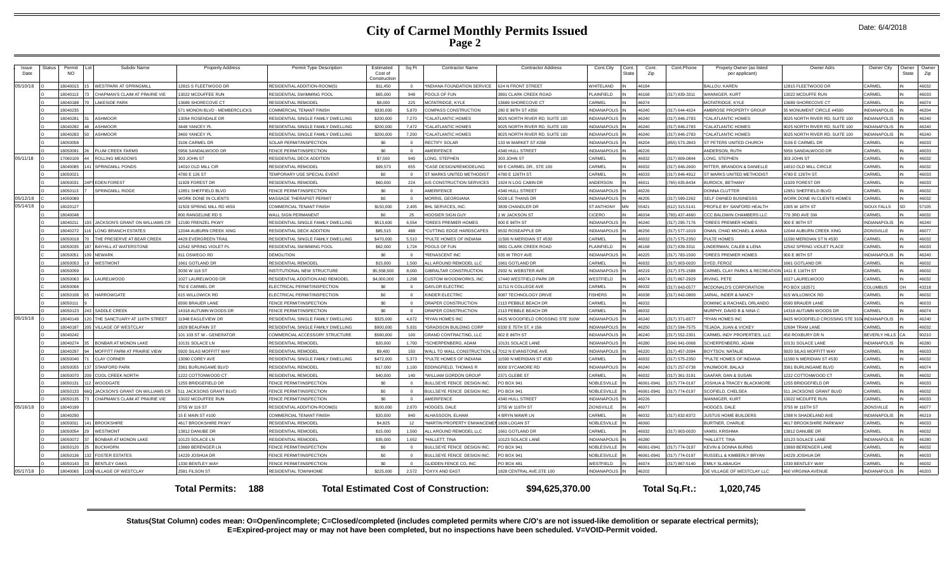|  | Date: 6/4/2018 |
|--|----------------|
|--|----------------|

| Issue<br>Date | Status | Permit<br><b>NO</b> | Subdiv Name                    | <b>Property Address</b>            | Permit Type Description            | Estimated<br>Cost of<br>Constructio | Sq Ft            | <b>Contractor Name</b>                       | <b>Contractor Address</b>        | Cont.City           | Cont.<br>State | Cont.<br>Zip | Cont.Phone     | Propety Owner (as listed<br>per applicant)     | Owner Adrs                       | Owner City           | Owner<br><b>State</b> | Owner<br>Zip |
|---------------|--------|---------------------|--------------------------------|------------------------------------|------------------------------------|-------------------------------------|------------------|----------------------------------------------|----------------------------------|---------------------|----------------|--------------|----------------|------------------------------------------------|----------------------------------|----------------------|-----------------------|--------------|
| 05/10/18      |        | 8040015             | WESTPARK AT SPRINGMILL         | 12815 S FLEETWOOD DR               | RESIDENTIAL ADDITION-ROOM(S)       | \$11,450                            | $\sim$           | INDIANA FOUNDATION SERVICE                   | 624 N FRONT STREET               | WHITELAND           |                | 46184        |                | <b>BALLOU, KAREN</b>                           | 2815 FLEETWOOD DR                | CARMEL               |                       | 46032        |
|               |        | 8040113             | CHAPMAN'S CLAIM AT PRAIRIE VIE | 13022 MCDUFFEE RUN                 | RESIDENTIAL SWIMMING POOL          | \$65,000                            | 948              | POOLS OF FUN                                 | 891 CLARK CREEK ROAD             | PLAINFIELD          |                | 46168        | 317) 839-3311  | WANNIGER, KURT                                 | 3022 MCDUFFE RUN                 | CARMEL               |                       | 46033        |
|               |        | 804018              | LAKESIDE PARK                  | 3689 SHORECOVE CT                  | RESIDENTIAL REMODEL                | \$8,000                             | 225              | <b>MCFATRIDGE, KYLE</b>                      | 3689 SHORECOVE CT                | CARMEL              |                | 46074        |                | <b>MCFATRIDGE, KYLE</b>                        | 3689 SHORECOVE CT                | CARMEL               |                       | 46074        |
|               |        | 8040235             |                                | 571 MONON BLVD - MEMBERCLICKS      | COMMERCIAL TENANT FINISH           | \$330,000                           | 5.870            | COMPASS CONSTRUCTION                         | 280 E 96TH ST #350               | <b>INDIANAPOLIS</b> |                | 46240        | 317) 644-4024  | MBROSE PROPERTY GROUP                          | 5 MONUMENT CIRCLE #4500          | <b>INDIANAPOLIS</b>  |                       | 46204        |
|               |        | 8040281             | <b>ASHMOOR</b>                 | 13054 ROSENDALE DR                 | RESIDENTIAL SINGLE FAMILY DWELLING | \$200,000                           | 7.270            | <b>"CALATLANTIC HOMES</b>                    | 025 NORTH RIVER RD, SUITE 100    | <b>INDIANAPOLIS</b> |                | 46240        | 317) 846-2783  | CALATLANTIC HOMES                              | 025 NORTH RIVER RD, SUITE 100    | NDIANAPOLIS          |                       | 46240        |
|               |        | 8040282             | <b>ASHMOOR</b>                 | 3448 YANCEY PL                     | RESIDENTIAL SINGLE FAMILY DWELLING | \$200,000                           | 7.472            | *CALATLANTIC HOMES                           | 025 NORTH RIVER RD. SUITE 100    | <b>INDIANAPOLIS</b> |                | 46240        | 317) 846-2783  | CALATLANTIC HOMES                              | 025 NORTH RIVER RD, SUITE 100    | <b>VDIANAPOLIS</b>   |                       | 46240        |
|               |        | 8040283             | ASHMOOR                        | <b>3460 YANCEY PI</b>              | RESIDENTIAL SINGLE FAMILY DWELLING | \$200,000                           | 7.200            | CALATLANTIC HOMES                            | 025 NORTH RIVER RD, SUITE 100    | <b>INDIANAPOLIS</b> |                | 46240        | 317) 846-2783  | <b>CALATLANTIC HOMES</b>                       | 025 NORTH RIVER RD, SUITE 100    | <b>DIANAPOLIS</b>    |                       | 46240        |
|               |        | 805005              |                                | 3106 CARMEL DR                     | SOLAR PERMIT/INSPECTION            | \$0                                 | $\Omega$         | <b>RECTIFY SOLAR</b>                         | 133 W MARKET ST #268             | <b>INDIANAPOLIS</b> |                | 46204        | 855) 573-2843  | ST PETERS UNITED CHURCH                        | 106 F CARMEL DE                  | ARMEL                |                       | 46033        |
|               |        | 8050091             | PLUM CREEK FARMS               | 5956 SANDALWOOD DR                 | FENCE PERMIT/INSPECTION            | \$0                                 | $\Omega$         | <b>MERIFENCE</b>                             | 4340 HULL STREET                 | <b>INDIANAPOLIS</b> |                | 46226        |                | <b>INDERSON, RUTH</b>                          | 956 SANDALWOOD DR                | CARMEL               |                       | 46033        |
| 05/11/18      |        | 7060109             | ROLLING MEADOWS                | 303 JOHN ST                        | RESIDENTIAL DECK ADDITION          | \$7,500                             | 940              | ONG, STEPHEN                                 | 303 JOHN ST                      | CARMEL              |                | 46032        | (317) 809-0844 | ONG, STEPHEN                                   | SO3 JOHN ST                      | CARMEL               |                       | 46032        |
|               |        | 8040085             | <b>SPRINGMILL PONDS</b>        | 14010 OLD MILL CIR                 | RESIDENTIAL REMODEI                | \$99,573                            | 655              | CASE DESIGN/REMODELING                       | 9 E CARMEL DR., STE 100          | CARMEL              |                | 46032        | 317) 846-2600  | <b>RITTER, BRANDON &amp; DANIELLE</b>          | 4010 OLD MILL CIRCLE             | <b>ARMEL</b>         |                       | 46032        |
|               |        | 805002              |                                | 4780 E 126 ST                      | TEMPORARY USE SPECIAL EVENT        | \$0                                 | $\sqrt{2}$       | <b>ST MARKS UNITED METHODIST</b>             | 4780 E 126TH ST.                 | CARMEL              |                | 46033        | (317) 846-4912 | ST MARKS UNITED METHODIST                      | 4780 E 126TH ST                  | CARMEL               |                       | 46033        |
|               |        | 8050031             | <b>IEDEN FOREST</b>            | 1929 FOREST DR                     | RESIDENTIAL REMODEI                | \$60,000                            | 224              | <b>NIS CONSTRUCTION SERVICES</b>             | 924 N LOG CABIN DR               | ANDERSON            |                | 46011        | 765) 635-8434  | <b>SURDICK, BETHANY</b>                        | 1929 FOREST DR                   | CARMEL               |                       | 46033        |
|               |        | 8050113             | <b>SPRINGMILL RIDGE</b>        | 2851 SHEFFIELD BLVD                | FENCE PERMIT/INSPECTION            | \$0                                 |                  | <b>MERIFENCE</b>                             | 340 HULL STREET                  | <b>INDIANAPOLIS</b> |                | 46226        |                | <b>DONNA CLUTTER</b>                           | 2851 SHEFFIELD BLVD              | CARMEL               |                       | 46032        |
| 05/12/18      |        | 4050089             |                                | <b><i>NORK DONE IN CLIENTS</i></b> | <b>MASSAGE THERAPIST PERMIT</b>    | \$0                                 | $\Omega$         | MORRIS, GEORGIANA                            | 5028 LE THANS DR                 | <b>INDIANAPOLIS</b> |                | 46205        | 317) 599-2262  | SELF OWNED BUSINESSS                           | <b>ORK DONE IN CLIENTS HOMES</b> | <b>ARMEL</b>         |                       | 46032        |
| 05/14/18      |        | 8020127             |                                | 1503 SPRING MILL RD #65            | COMMERCIAL TENANT FINISH           | \$150,000                           | 2.405            | BHL SERVICES. INC                            | 3839 CHANDLER DF                 | <b>ST ANTHONY</b>   |                | 55421        | 612) 315-5141  | <b>PROFILE BY SANFORD HEALTH</b>               | 305 W 18TH ST                    | <b>SIOUX FALLS</b>   |                       | 57105        |
|               |        | 8040048             |                                | 800 RANGELINE RD S                 | WALL SIGN PERMANENT                | \$0                                 | 25               | <b>HOOSIER SIGN GUY</b>                      | 1 W JACKSON ST                   | <b>CICERO</b>       |                | 46034        | 765) 437-4660  | CCC BALDWIN CHAMBERS LLC                       | 70 3RD AVE SW                    | <b>CARMEL</b>        |                       | 46032        |
|               |        | 8040211             | JACKSON'S GRANT ON WILLIAMS CR | 2190 FRENZEL PKWY                  | RESIDENTIAL SINGLE FAMILY DWELLING | \$513,600                           | 6.554            | DREES PREMIER HOMES                          | 900 E 96TH ST                    | <b>INDIANAPOLIS</b> |                | 46240        | 317) 295-7176  | DREES PREMIER HOMES                            | 00 E 96TH ST                     | NDIANAPOLIS          |                       | 46240        |
|               |        | 8040272             | <b>LONG BRANCH ESTATES</b>     | <b>2044 AUBURN CREEK XING</b>      | RESIDENTIAL DECK ADDITION          | \$85,515                            | 488              | *CUTTING EDGE HARDSCAPES                     | 532 ROSEAPPLE DR                 | <b>INDIANAPOLIS</b> |                | 46256        | 317) 577-1019  | <b>ONAN. CHAD MICHAFI &amp; ANNA</b>           | 2044 AUBURN CREEK XING           | <b>IONSVILLE</b>     |                       | 46077        |
|               |        | 8050018             | THE PRESERVE AT BEAR CREEK     | <b>4429 EVERGREEN TRAIL</b>        | RESIDENTIAL SINGLE FAMILY DWELLING | \$470,000                           | 5.510            | PULTE HOMES OF INDIANA                       | 1590 N MERIDIAN ST #530          | CARMEL              |                | 46032        | 317) 575-2350  | ULTE HOMES                                     | 1590 MERIDIAN ST N #530          | <b>ARMEL</b>         |                       | 46032        |
|               |        | 805003              | <b>BAYHILL AT WATERSTONE</b>   | 12542 SPRING VIOLET PL             | RESIDENTIAL SWIMMING POOL          | \$62,000                            | 1.724            | POOLS OF FUN                                 | 3891 CLARK CREEK ROAD            | <b>PLAINFIELD</b>   |                | 46168        | (317) 839-3311 | INDERMAN, CALEB & LENA                         | 2542 SPRING VIOLET PLACE         | CARMEL               |                       | 46033        |
|               |        | 8050051             | <b>NEWARK</b>                  | 811 OSWEGO RD                      | DEMOLITION                         | \$0                                 | $\Omega$         | <b>RENASCENT INC</b>                         | 935 W TROY AVE                   | <b>INDIANAPOLIS</b> |                | 46225        | (317) 783-1500 | DREES PREMIER HOMES                            | 900 E 96TH ST                    | <b>INDIANAPOLIS</b>  |                       | 46240        |
|               |        | 8050053             | <b>WESTMONT</b>                | 1661 GOTLAND DR                    | RESIDENTIAL REMODEL                | \$15,000                            | 1.500            | ALL AROUND REMODEL LLC                       | 1661 GOTLAND DR                  | CARMEL              |                | 46032        | (317) 903-0020 | SYED, FEROZ                                    | 1661 GOTLAND DR                  | CARMEL               |                       | 46032        |
|               |        | 8050059             |                                | 3030 W 116 ST                      | NSTITUTIONAL NEW STRUCTURE         | \$5,558,500                         | 8.000            | <b>GIBRALTAR CONSTRUCTION</b>                | 2932 N. WEBSTER AVE              | <b>INDIANAPOLIS</b> |                | 46219        | 317) 375-1588  | CARMEL CLAY PARKS & RECREATION 1411 E 116TH ST |                                  | ARMEL                |                       | 46032        |
|               |        | 8050063             | AURELWOOD                      | 1027 LAURELWOOD DR                 | RESIDENTIAL ADDITION AND REMODEI   | \$4,000,000                         | 1,298            | USTOM WOODWORKS, INC                         | 7440 WESTFIELD PARK DR           | WESTFIELD           |                | 46074        | 317) 867-2929  | <b>RVING, PETE</b>                             | 027 LAURELWOOD                   | CARMEL               |                       | 46032        |
|               |        | 8050068             |                                | 750 E CARMEL DR                    | ELECTRICAL PERMIT/INSPECTION       | \$0                                 | $\Omega$         | <b>GAYLOR ELECTRIC</b>                       | 11711 N COLLEGE AVE              | CARMEL              |                | 46032        | (317) 843-0577 | MCDONALD'S CORPORATION                         | PO BOX 182571                    | COLUMBUS             | <b>OH</b>             | 43218        |
|               |        | 8050108             | <b>HARROWGATE</b>              | 615 WILLOWICK RD                   | ELECTRICAL PERMIT/INSPECTION       | \$0                                 | $\Omega$         | <b>INDER ELECTRIC</b>                        | 9087 TECHNOLOGY DRIVE            | <b>FISHERS</b>      |                | 46038        | 317) 842-0809  | <b>IARIAL, INDER &amp; NANCY</b>               | 15 WILLOWICK RD                  | <b>ARMEL</b>         |                       | 46032        |
|               |        | 8050111             |                                | 5590 BRAUER LANE                   | FENCE PERMIT/INSPECTION            | SO <sub>2</sub>                     | $\Omega$         | DRAPER CONSTRUCTION                          | 113 PERRI E REACH DR             | CARMEL              |                | 36032        |                | <b>DOMINIC &amp; RACHAEL ORLANDO</b>           | 590 BRAUER LANE                  | <b>ARMEL</b>         |                       | 46033        |
|               |        | 8050123             | SADDLE CREEK                   | 14318 AUTUMN WOODS DR              | FENCE PERMIT/INSPECTION            | \$0                                 |                  | DRAPER CONSTRUCTION                          | 113 PEBBLE BEACH DR              | CARMEL              |                | 46032        |                | MURPHY, DAVID B & NINA C                       | 4318 AUTUMN WOODS DF             | CARMEI               |                       | 46074        |
| 05/15/18      |        | 8040149             | THE SANCTUARY AT 116TH STREET  | 1948 EAGLEVIEW DR                  | RESIDENTIAL SINGLE FAMILY DWELLING | \$325,000                           | 4.672            | 'RYAN HOMES INC                              | 8425 WOODFIELD CROSSING STE 310W | <b>INDIANAPOLIS</b> |                | 46240        | 317) 371-6577  | *RYAN HOMES INC                                | 3425 WOODFIELD CROSSING STE 31   | NDIANAPOLIS          |                       | 46240        |
|               |        | 8040187             | <b>VILLAGE OF WESTCLAY</b>     | 1829 BEAUFAIN ST                   | RESIDENTIAL SINGLE FAMILY DWELLING | \$900,000                           | 5.931            | <b>GRADISON BUILDING CORP</b>                | 6330 E 75TH ST, # 156            | <b>INDIANAPOLIS</b> |                | 46250        | 317) 594-7575  | TEJADA. JUAN & VICKEY                          | 2694 TRAM LANE                   | <b>ARMEL</b>         |                       | 46032        |
|               |        | 8040242             |                                | 101 103 ST W - GENERATOR           | COMMERCIAL ACCESSORY STRUCTURE     | \$580,000                           | $100 -$          | <b>GRAND CONTRACTING, LLC</b>                | RO2 E RATH ST                    | <b>INDIANAPOLIS</b> |                | 46240        | 317) 552-2301  | CARMEL INDY PROPERTIES, LLC                    | 50 ROXBURY DR N                  | <b>REVERLY HILLS</b> |                       | 90210        |
|               |        | 8040274             | BONBAR AT MONON LAKE           | 10131 SOLACE LN                    | RESIDENTIAL REMODEI                | \$20,000                            | 1.700            | <b>SCHERPENBERG, ADAM</b>                    | 10131 SOLACE LANE                | <b>INDIANAPOLIS</b> |                | 46280        | 504) 941-0068  | SCHERPENBERG, ADAM                             | 0131 SOLACE LANE                 | NDIANAPOLIS          |                       | 46280        |
|               |        | 8040297             | MOFFITT FARM AT PRAIRIE VIEW   | 5920 SILAS MOFFITT WAY             | RESIDENTIAI REMODE                 | \$9,400                             | 150              | <b>WALL TO WALL CONSTRUCTION</b>             | 7012 N EVANSTONE AVE             | INDIANAPOLIS        |                | 46220        | (317) 457-2094 | <b>ROYTSOV NATALIE</b>                         | 920 SILAS MOFFITT WAY            | CARMEL               |                       | 46033        |
|               |        | 8050040             | <b>CLAY CORNER</b>             | 13090 COREY AVE                    | RESIDENTIAL SINGLE FAMILY DWELLING | \$472,000                           | 5.373            | PULTE HOMES OF INDIANA                       | 1590 N MERIDIAN ST #530          | CARMEL              |                | 46032        | 317) 575-2350  | PULTE HOMES OF INDIANA                         | 1590 N MERIDIAN ST #530          | CARMEL               |                       | 46032        |
|               |        | 8050055             | <b>STANFORD PARK</b>           | 3361 BURLINGAME BLVD               | RESIDENTIAI REMODEI                | \$17,000                            | 1,100            | DDINGFIFLD. THOMAS R                         | <b>8000 SYCAMORE RD</b>          | <b>INDIANAPOLIS</b> |                | 46240        | 317) 257-0738  | <b>/IN.IIMOOR. BAI A.II</b>                    | 361 BURLINGAME BLVD              | CARMEL               |                       | 46074        |
|               |        | 8050070             | COOL CREEK NORTH               | 1222 COTTONWOOD CT                 | RESIDENTIAL REMODEL                | \$40,000                            | 140              | WILLIAM GORDON GROUP                         | 2371 GLEBE ST                    | CARMEL              |                | 46032        | 317) 361-3191  | GAAFAR, DAN & SUSAN                            | 222 COTTONWOOD CT                | CARMEL               |                       | 46032        |
|               |        | 805013              | WOODGATE                       | 1255 BRIDGEFIELD DR                | FENCE PERMIT/INSPECTION            | \$0                                 | $\Omega$         | <b>BULLSEYE FENCE DESIGN INC</b>             | PO BOX 941                       | <b>NOBLESVILLE</b>  |                | 46061-0941   | 317) 774-0197  | <b>IOSHUA &amp; TRACEY BLACKMORE</b>           | 255 BRIDGEFIELD DR               | CARMEL               |                       | 46033        |
|               |        | 8050133             | ACKSON'S GRANT ON WILLIAMS CR  | 511 JACKSONS GRANT BLVD            | FENCE PERMIT/INSPECTION            | \$0                                 | $\sqrt{2}$       | ULLSEYE FENCE DESIGN INC                     | <b>PO BOX 941</b>                | <b>NOBLESVILLE</b>  |                | 46061-0941   | 317) 774-0197  | <b>COFIELD CHELSE</b>                          | 11 JACKSONS GRANT BLVD           | CARMEL               |                       | 46032        |
|               |        | 8050135             | CHAPMAN'S CLAIM AT PRAIRIE VIE | 3022 MCDUFFEE RUN                  | FENCE PERMIT/INSPECTION            | \$0                                 | $\Omega$         | AMERIFENCE                                   | 4340 HULL STREET                 | <b>INDIANAPOLIS</b> |                | 46226        |                | VANNIGER, KURT                                 | 3022 MCDUFFE RUN                 | CARMEL               |                       | 46033        |
| 05/16/18      |        | 8040199             |                                | 3755 W 116 ST                      | RESIDENTIAL ADDITION-ROOM(S        | \$100,000                           | 2.870            | HODGES, DALE                                 | 3755 W 116TH ST                  | <b>ZIONSVILLE</b>   |                | 46077        |                | <b>IODGES, DALE</b>                            | <b>1755 W 116TH ST</b>           | <b>IONSVILLE</b>     |                       | 46077        |
|               |        | 8040290             |                                | 15 E MAIN ST #100                  | COMMERCIAL TENANT FINISH           | \$20,000                            | 840              | LHASSOON, ELHAM                              | 4 BRYN MAWR LI                   | CARMEL              |                | 46032        | 317) 832-8372  | JUSTUS HOME BUILDERS                           | 398 N SHADELAND AVE              | <b>NDIANAPOLIS</b>   |                       | 46219        |
|               |        | 805001              | <b>BROOKSHIRE</b>              | 4617 BROOKSHIRE PKWY               | RESIDENTIAL REMODEL                | \$4,825                             | 12 <sup>12</sup> | "MARTIN PROPERTY FNHANCEMEN 1609 LOGAN ST    |                                  | NOBLESVILLE         |                | 46060        |                | <b>SURTNER, CHARLIF</b>                        | <b>4617 RROOKSHIRE PARKWAY</b>   | <b>ARMEL</b>         |                       | 46033        |
|               |        | 8050054             | <b>WESTMONT</b>                | 3812 DANUBE DR                     | RESIDENTIAL REMODEI                | \$15,000                            | 1.500            | ALL AROUND REMODEL LLC                       | 661 GOTLAND DR                   | CARMEL              |                | 46032        | 317) 903-0020  | <b>/AMSI. KRISHMA</b>                          | 3812 DANUBE DF                   | <b>ARMEL</b>         |                       | 46032        |
|               |        | 8050072             | <b>BONBAR AT MONON LAKE</b>    | 10123 SOLACE LN                    | RESIDENTIAL REMODEL                | \$35,000                            | 1.652            | <b>HALLETT, TINA</b>                         | 10123 SOLACE LANE                | <b>INDIANAPOLIS</b> |                | 46280        |                | HALLETT. TINA                                  | 0123 SOLACE LANE                 | NDIANAPOLIS          |                       | 46280        |
|               |        | 8050120             | <b>BUCKHORN</b>                | 3869 BERENGER LN                   | <b>ENCE PERMIT/INSPECTION</b>      | \$0                                 | $\Omega$         | <b>BULLSEYE FENCE DESIGN INC</b>             | <b>PO BOX 941</b>                | <b>NOBLESVILLE</b>  |                | 46061-0941   | 317) 774-0197  | KEVIN & DONNA BURNS                            | 3869 BERENGER LANE               | <b>ARMEL</b>         |                       | 46032        |
|               |        | 805013              | <b>FOSTER ESTATES</b>          | 14229 JOSHUA DF                    | FENCE PERMIT/INSPECTION            | \$0                                 |                  | ULLSEYE FENCE DESIGN INC                     | O BOX 941                        | <b>NOBLESVILLE</b>  |                | 46061-0941   | 317) 774-0197  | RUSSELL & KIMBERI Y BRYAN                      | 4229 JOSHUA DR                   | CARMEL               |                       | 46033        |
|               |        | 8050143             | <b>BENTLEY OAKS</b>            | 1330 BENTLEY WAY                   | FENCE PERMIT/INSPECTION            | SO.                                 | $\Omega$         | <b>ILIDDEN FENCE CO. INC</b>                 | PO BOX 481                       | WESTFIELD           |                | 46074        | 317) 867-5140  | <b>EMILY SLABAUGH</b>                          | 330 BENTLEY WAY                  | CARMEL               |                       | 46032        |
| 05/17/18      |        | 8040065             | 336 VILLAGE OF WESTCLAY        | 2581 FILSON ST                     | RESIDENTIAL TOWNHOME               | \$225,000                           | 2.572            | *OXYX AND EAST                               | 1828 CENTRAL AVE.STE 100         | <b>INDIANAPOLIS</b> |                | 46202        |                | OE VILLAGE OF WESTCLAY LLC                     | <b>60 VIRGINIA AVENUE</b>        | <b>NDIANAPOLIS</b>   |                       | 46203        |
|               |        |                     |                                | <b>Total Permits: 188</b>          |                                    |                                     |                  | <b>Total Estimated Cost of Construction:</b> | \$94,625,370.00                  |                     |                |              | Total Sq.Ft.:  | 1.020.745                                      |                                  |                      |                       |              |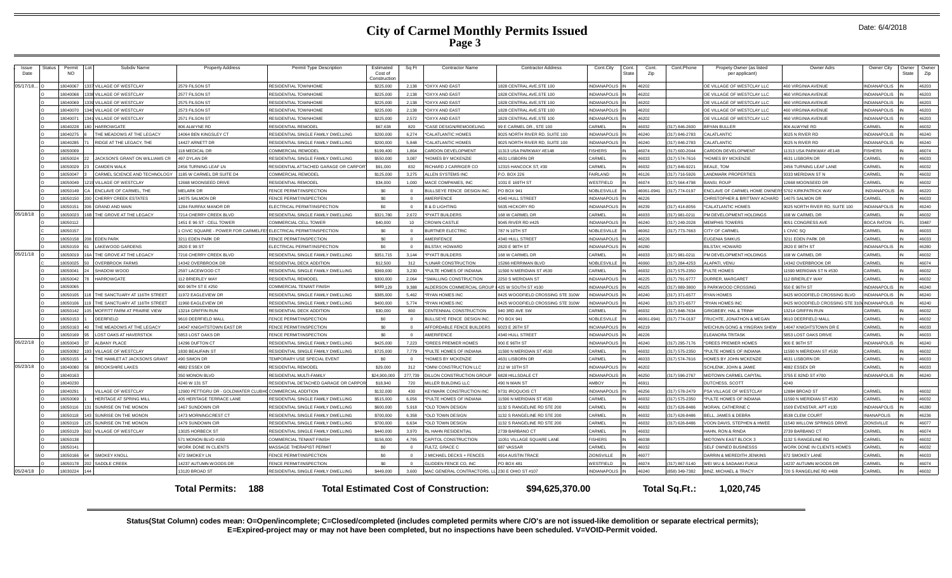|  | Date: 6/4/2018 |
|--|----------------|
|--|----------------|

| Issue<br>Date | Status | Permit<br><b>NO</b> | Subdiv Name                          | <b>Property Address</b>                                           | Permit Type Description               | Estimated<br>Cost of<br>Construction | Sq Ft      | <b>Contractor Name</b>                          | <b>Contractor Address</b>        | Cont.City           | Cont<br>State | Cont.<br>Zip | Cont.Phone     | Propety Owner (as listed<br>per applicant) | Owner Adrs                               | Owner City          | Owner<br>State | Owner<br>Zip |
|---------------|--------|---------------------|--------------------------------------|-------------------------------------------------------------------|---------------------------------------|--------------------------------------|------------|-------------------------------------------------|----------------------------------|---------------------|---------------|--------------|----------------|--------------------------------------------|------------------------------------------|---------------------|----------------|--------------|
| 05/17/18      |        | 18040067            | 1337 VILLAGE OF WESTCLAY             | 2579 FILSON ST                                                    | <b>RESIDENTIAL TOWNHOME</b>           | \$225,000                            | 2,138      | *OXYX AND EAST                                  | 1828 CENTRAL AVE, STE 100        | <b>INDIANAPOLI</b>  |               | 46202        |                | OE VILLAGE OF WESTCLAY LLC                 | 60 VIRGINIA AVENUE                       | NDIANAPOLIS         |                | 46203        |
|               |        | 18040068            | <b>8 VILLAGE OF WESTCLAY</b>         | 2577 FILSON ST                                                    | RESIDENTIAL TOWNHOM                   | \$225,000                            | 2 138      | *OXYX AND EAST                                  | 1828 CENTRAL AVE.STE 100         | INDIANAPOLI         |               | 46202        |                | OE VILLAGE OF WESTCLAY LLC                 | 60 VIRGINIA AVENUE                       | NDIANAPOLIS         |                | 46203        |
|               |        | 18040069            | 1339 VILLAGE OF WESTCLAY             | 2575 FILSON ST                                                    | RESIDENTIAL TOWNHOME                  | \$225,000                            | 2,138      | *OXYX AND EAST                                  | 1828 CENTRAL AVE, STE 100        | <b>INDIANAPOLIS</b> |               | 46202        |                | OE VILLAGE OF WESTCLAY LLC                 | 60 VIRGINIA AVENUE                       | NDIANAPOLIS         |                | 46203        |
|               |        | 18040070            | 1340 VILLAGE OF WESTCLAY             | 2573 FILSON ST                                                    | RESIDENTIAL TOWNHOM                   | \$225,000                            | 2.138      | *OXYX AND EAST                                  | 1828 CENTRAL AVE.STE 100         | <b>NDIANAPOLIS</b>  |               | 46202        |                | DE VILLAGE OF WESTCLAY LLC                 | <b>160 VIRGINIA AVENUE</b>               | <b>NDIANAPOLIS</b>  |                | 46203        |
|               |        | 18040071            | <b>VILLAGE OF WESTCLAY</b>           | 2571 FILSON ST                                                    | <b>RESIDENTIAL TOWNHOM!</b>           | \$225,000                            | 2.572      | <b>OXYX AND EAST</b>                            | 828 CENTRAL AVE.STE 100          | <b>INDIANAPOLIS</b> |               | 46202        |                | OE VILLAGE OF WESTCLAY LLC                 | 60 VIRGINIA AVENUE                       | NDIANAPOLIS         |                | 46203        |
|               |        | 18040228            | <b>HARROWGATE</b>                    | 806 ALWYNE RD                                                     | <b>RESIDENTIAL REMODEL</b>            | \$67,638                             | 820        | *CASE DESIGN/REMODELING                         | 99 E CARMEL DR STE 100           | CARMEL              |               | 36032        | 317) 846-2600  | <b>BRYAN BULLER</b>                        | 306 ALWYNE RD                            | <b>ARMEL</b>        |                | 46032        |
|               |        | 18040275            | THE MEADOWS AT THE LEGACY            | 14064 BEN KINGSLEY CT                                             | RESIDENTIAL SINGLE FAMILY DWELLING    | \$200,000                            | 6.274      | *CALATLANTIC HOMES                              | 9025 NORTH RIVER RD, SUITE 100   | <b>INDIANAPOLIS</b> |               | 46240        | 317) 846-2783  | CALATLANTIC                                | 025 N RIVER RD                           | <b>NDIANAPOLIS</b>  |                | 46240        |
|               |        | 18040285            | RIDGE AT THE LEGACY. THE             | 14427 ARNETT DR                                                   | RESIDENTIAL SINGLE FAMILY DWELLING    | \$200,000                            | 5.848      | *CALATLANTIC HOMES                              | 025 NORTH RIVER RD, SUITE 100    | NDIANAPOLIS         |               | 46240        | 317) 846-2783  | CALATLANTIC                                | 025 N RIVER RD                           | NDIANAPOLIS         |                | 46240        |
|               |        | 18050009            |                                      | 118 MEDICAL DR                                                    | <b>COMMERCIAL REMODEI</b>             | \$199,400                            | 1.804      | <b>ARDON DEVELOPMENT</b>                        | 11313 USA PARKWAY #E148          | <b>ISHERS</b>       |               | 46074        | 317) 600-2044  | CARDON DEVELOPMENT                         | 1313 USA PARKWAY #E148                   | <b>ISHERS</b>       |                | 46074        |
|               |        | 18050024            | JACKSON'S GRANT ON WILLIAMS CR<br>22 | 497 DYLAN DR                                                      | RESIDENTIAL SINGLE FAMILY DWELLING    | \$550,000                            | 3.087      | *HOMES BY MCKENZIE                              | 4631 LISBORN DF                  | CARMEL              |               | <b>FFORA</b> | 317) 574-7616  | <b>HOMES BY MCKENZIE</b>                   | 4631 LISBORN DR                          | CARMEL              |                | 46033        |
|               |        | 18050029            | <b>CAMDEN WALK</b>                   | 2456 TURNING LEAF LN                                              | RESIDENTIAL ATTACHED GARAGE OR CARPO  | \$91,000                             | 832        | RICHARD J CARRIGER CO                           | 12315 HANCOCK ST. #30            | CARMEL              |               | 36032        | 317) 846-9221  | BEALE, TOM                                 | <b>456 TURNING LEAF LANE</b>             | ARMEL               |                | 46032        |
|               |        | 18050047            | CARMEL SCIENCE AND TECHNOLOGY        | 1185 W CARMEL DR SUITE D4                                         | COMMERCIAL REMODEL                    | \$125,000                            | 3,275      | ALLEN SYSTEMS INC                               | P.O. BOX 226                     | <b>AIRLAND</b>      |               | 46126        | 317) 716-5926  | <b>ANDMARK PROPERTIES</b>                  | 333 MERIDIAN ST N                        | ARMEL               |                | 46032        |
|               |        | 18050049            | VILLAGE OF WESTCLAY                  | 12668 MOONSEED DRIVE                                              | RESIDENTIAL REMODEL                   | \$34,000                             | 1.000      | MACE COMPANIES. INC                             | 1031 E 169TH ST                  | VESTFIELD           |               | 46074        | 17) 564-4798   | ANSI ROUF                                  | 2668 MOONSEED DR                         | CARMEL              |                | 46032        |
|               |        | 18050149            | ENCLAVE OF CARMEL. THE               | <b>MELARK DR</b>                                                  | FENCE PERMIT/INSPECTION               | \$0                                  |            | BULLSEYE FENCE DESIGN INC.                      | <b>PO BOX 941</b>                | NOBLESVILLI         |               | 46061-0941   | 317) 774-0197  | <b>ENCLAVE OF CARMEL HOME OWNER</b>        | <b>5702 KIRKPATRICK WAY</b>              | INDIANAPOLIS        |                | 46220        |
|               |        | 18050150            | <b>CHERRY CREEK ESTATES</b><br>200   | 14075 SALMON DR                                                   | FENCE PERMIT/INSPECTION               | \$0                                  | $\Omega$   | AMERIFENCE                                      | 4340 HULL STREET                 | <b>INDIANAPOLIS</b> |               | 46226        |                | CHRISTOPHER & BRITTANY ACHARD              | 1075 SAI MON DE                          | ARMFI:              |                | 46033        |
|               |        | 18050151            | <b>GRAND AND MAIN</b>                | 1284 FAIRFAX MANOR DR                                             | FLECTRICAL PERMIT/INSPECTION          | \$0                                  | $\Omega$   | <b>B &amp; D LIGHTING</b>                       | 5635 HICKORY RD                  | INDIANAPOLIS        |               | 46239        | 317) 414-8056  | *CAI ATI ANTIC HOMES                       | 025 NORTH RIVER RD, SUITE 100            | NDIANAPOLIS         |                | 46240        |
| 05/18/18      |        | 18050023            | THE GROVE AT THE LEGACY              | 7214 CHERRY CREEK BLVD                                            | RESIDENTIAL SINGLE FAMILY DWELLING    | \$321,780                            | 2,672      | *PYATT BUILDERS                                 | 168 W CARMEL DR                  | CARMEL              |               | 46033        | 317) 981-0211  | M DEVELOPMENT HOLDINGS                     | 68 W CARMEL DR                           | <b>ARMEL</b>        |                | 46032        |
|               |        | 18050112            |                                      | 1451 E 96 ST - CELL TOWER                                         | COMMERCIAL CELL TOWER                 | \$40,000                             | 10         | <b>CROWN CASTLE</b>                             | 9045 RIVER RD #425               | <b>INDIANAPOLI</b>  |               | 46240        | (317) 249-2028 | <b>MEMPHIS TOWERS</b>                      | 8051 CONGRESS AVE                        | BOCA RATOM          |                | 33487        |
|               |        | 18050157            |                                      | 1 CIVIC SQUARE - POWER FOR CARMELFES ELECTRICAL PERMIT/INSPECTION |                                       | \$0                                  | $\Omega$   | <b>BURTNER ELECTRIC</b>                         | 787 N 10TH ST                    | NOBLESVILLE         |               | 46062        | 317) 773-7663  | CITY OF CARMEL                             | CIVIC SQ                                 | CARMEL              |                | 46033        |
|               |        | 18050158            | <b>EDEN PARK</b><br>208              | 3211 EDEN PARK DR                                                 | FENCE PERMIT/INSPECTION               | \$0                                  | $\Omega$   | <b>AMERIFENCE</b>                               | 4340 HULL STREET                 | INDIANAPOLIS        |               | 46226        |                | <b>EUGENIA SIMKUS</b>                      | 3211 EDEN PARK DR                        | <b>ARMEL</b>        |                | 46033        |
|               |        | 18050159            | <b>LAKEWOOD GARDENS</b>              | 2820 E 98 ST                                                      | ELECTRICAL PERMIT/INSPECTION          | -90                                  | $\Omega$   | <b>BILSTAY, HOWARD</b>                          | 2820 E 98TH ST                   | <b>INDIANAPOLIS</b> |               | 46280        |                | <b>BILSTAY, HOWARD</b>                     | 2820 E 98TH ST                           | <b>VDIANAPOLIS</b>  |                | 46280        |
| 05/21/18      |        | 18050019            | THE GROVE AT THE LEGACY              | 7216 CHERRY CREEK BLVD                                            | RESIDENTIAL SINGLE FAMILY DWELLING    | \$351,715                            | 3,144      | *PYATT BUILDERS                                 | 168 W CARMEL DR                  | CARMEI              |               | 46033        | 317) 981-0211  | PM DEVELOPMENT HOLDINGS                    | <b>168 W CARMEL DR</b>                   | <b>ARMEL</b>        |                | 46032        |
|               |        | 18050025            | <b>OVERBROOK FARMS</b>               | 14342 OVERBROOK DR                                                | <b>RESIDENTIAL DECK ADDITION</b>      | \$12,500                             | 312        | LUNAR CONSTRUCTION                              | 15266 HERRIMAN BLVD              | NOBLESVILLE         |               | 46060        | (317) 284-4253 | ALAPATI, VENU                              | 4342 OVERBROOK DR                        | CARMEL              |                | 46074        |
|               |        | 18050041            | SHADOW WOOD                          | 2597 LACEWOOD CT                                                  | RESIDENTIAL SINGLE FAMILY DWELLING    | \$369,000                            | 3,230      | *PULTE HOMES OF INDIANA                         | 1590 N MERIDIAN ST #530          | CARMEL              |               | 46032        | 317) 575-2350  | PULTE HOMES                                | 1590 MERIDIAN ST N #530                  | ARMFI               |                | 46032        |
|               |        | 18050042            | <b>HARROWGATE</b>                    | 112 BRIERLEY WAY                                                  | RESIDENTIAL REMODEL                   | \$300,000                            | 2.064      | SMALLING CONSTRUCTION                           | 2250 S MERIDIAN ST               | NDIANAPOLIS         |               | 46225        | 317) 791-9777  | <b>URRER MARGARET</b>                      | 12 BRIERLEY WAY                          | ARMEL               |                | 46032        |
|               |        | 18050065            |                                      | 900 96TH ST E #250                                                | COMMERCIAL TENANT FINISH              | \$489,129                            | 9.388      | ALDERSON COMMERCIAL GROUP I 425 W SOUTH ST #100 |                                  | <b>INDIANAPOLIS</b> |               | 46225        | 317) 889-3800  | <b>PARKWOOD CROSSING</b>                   | 550 E 96TH ST                            | NDIANAPOLIS         |                | 46240        |
|               |        | 18050105            | 118 THE SANCTUARY AT 116TH STREET    | 11972 EAGLEVIEW DF                                                | RESIDENTIAL SINGLE FAMILY DWELLING    | \$385,000                            | 5.462      | *RYAN HOMES INC                                 | 8425 WOODFIELD CROSSING STE 310W | NDIANAPOLIS         |               | 46240        | 317) 371-6577  | RYAN HOMES                                 | 3425 WOODFIELD CROSSING BLVD             | <b>JOIANAPOLIS</b>  |                | 46240        |
|               |        | 18050106            | 119 THE SANCTUARY AT 116TH STREET    | 11960 EAGLEVIEW DR                                                | RESIDENTIAL SINGLE FAMILY DWELLING    | \$400,000                            |            | 5.774 *RYAN HOMES INC                           | 8425 WOODFIELD CROSSING STE 310W | NDIANAPOLIS         |               | 46240        | 317) 371-6577  | *RYAN HOMES INC                            | 425 WOODFIELD CROSSING STE 310           | <b>INDIANAPOLIS</b> |                | 46240        |
|               |        | 18050142            | MOFFITT FARM AT PRAIRIE VIEW         | 13214 GRIFFIN RUN                                                 | RESIDENTIAL DECK ADDITION             | \$30,000                             | 800        | CENTENNIAL CONSTRUCTION                         | 40 3RD AVE SV                    | CARMEL              |               | 46032        | 317) 848-7634  | GRIGBEBY HAL & TRINH                       | 3214 GRIFFIN RUN                         | ARMFI               |                | 46032        |
|               |        | 18050153            | <b>DEERFIELD</b>                     | 9610 DEERFIELD MALL                                               | FENCE PERMIT/INSPECTION               | \$0                                  |            | BULLSEYE FENCE DESIGN INC                       | PO BOX 941                       | NOBLESVILLE         |               | 46061-0941   | 17) 774-0197   | RUCHTE, JONATHON & MEGAN                   | 610 DEERFIELD MALL                       | ARMEI               |                | 46032        |
|               |        | 18050163            | THE MEADOWS AT THE LEGACY            | 14047 KNIGHTSTOWN EAST DR                                         | FENCE PERMIT/INSPECTION               | so.                                  | $\Omega$   | AFFORDABLE FENCE BUILDERS                       | 6023 E 26TH ST                   | INCIANAPOLIS        |               | 46219        |                | WEICHUN GONG & YINGRAN SHEV                | 4047 KNIGHTSTOWN DR                      | CARMEL              |                | 46033        |
|               |        | 18050169            | <b>LOST OAKS AT HAVERSTICK</b>       | 5853 LOST OAKS DR                                                 | FENCE PERMIT/INSPECTION               | \$0                                  | $\Omega$   | AMERIFENCE                                      | 4340 HULL STREET                 | <b>INDIANAPOLIS</b> |               | 46226        |                | <b>LEANORA TRITASK</b>                     | 853 LOST OAKS DRIVE                      | <b>ARMEL</b>        |                | 46033        |
| 05/22/18      |        | 18050043            | <b>ALBANY PLACE</b>                  | 14296 DUFTON CT                                                   | RESIDENTIAL SINGLE FAMILY DWELLING    | \$425,000                            | 7,223      | *DREES PREMIER HOMES                            | 900 E 96TH ST                    | <b>NDIANAPOLIS</b>  |               | 46240        | 317) 295-7176  | *DREES PREMIER HOMES                       | 900 E 96TH ST                            | NDIANAPOLIS         |                | 46240        |
|               |        | 8050092             | <b>VILLAGE OF WESTCLAY</b>           | 1830 BEAUFAIN ST                                                  | RESIDENTIAL SINGLE FAMILY DWELLING    | \$725,000                            | 7 779      | *PULTE HOMES OF INDIANA                         | 11590 N MERIDIAN ST #530         | CARMEL              |               | 46032        | 317) 575-2350  | PULTE HOMES OF INDIANA                     | 1590 N MERIDIAN ST #530                  | CARMEL              |                | 46032        |
|               |        | 18050155            | THE HAMLET AT JACKSON'S GRANT        | 490 SIMON DR                                                      | TEMPORARY USE SPECIAL EVENT           | \$0                                  | $\Omega$   | *HOMES BY MCKENZIE                              | 4631 LISBORN DR                  | CARMEL              |               | <b>FFORA</b> | 317) 574-7616  | HOMES BY JOHN MCKENZIE                     | 4631 LISBORN DR                          | ARMEL               |                | 46033        |
| 05/23/18      |        | 18040080            | <b>BROOKSHIRE LAKES</b>              | 4882 ESSEX DR                                                     | <b>RESIDENTIAL REMODE</b>             | \$29,000                             | 312        | *OMNI CONSTRUCTION LLC                          | 212 W 10TH ST                    | <b>INDIANAPOLIS</b> |               | 46202        |                | SCHLENK, JOHN & JAMIE                      | 1882 ESSEX DR                            | <b>ARMEL</b>        |                | 46033        |
|               |        | 18040163            |                                      | 350 MONON BLVD                                                    | RESIDENTIAL MULTI-FAMILY              | \$24,900,000                         | 277 739    | DILLON CONSTRUCTION GROUP                       | 6828 HILLSDALE CT                | <b>INDIANAPOLIS</b> |               | 46250        | 317) 596-2767  | MIDTOWN CARMEL CAPITAL                     | 755 E 82ND ST #700                       | <b>NDIANAPOLIS</b>  |                | 46240        |
|               |        | 18040230            |                                      | 4240 W 131 ST                                                     | RESIDENTIAL DETACHED GARAGE OR CARPOI | \$18,940                             | 720        | MILLER BUILDING LLC                             | 490 N MAIN ST                    | <b>MBOY</b>         |               | 46911        |                | DUTCHESS, SCOTT                            | 240                                      |                     |                |              |
|               |        | 18040291            | VILLAGE OF WESTCLAY                  | 12900 PETTIGRU DR - GOLDWATER CLUBHO COMMERCIAL ADDITION          |                                       | \$132,000                            | 430        | <b>KEYMARK CONSTRUCTION INC</b>                 | 9731 IROQUOIS CT                 | <b>INDIANAPOL</b>   |               | 46256        | (317) 578-2479 | PSA VILLAGE OF WESTCLAY                    | 2884 BROAD ST                            | CARMEL              |                | 46032        |
|               |        | 18050069            | <b>HERITAGE AT SPRING MILL</b>       | 405 HERITAGE TERRACE LANE                                         | RESIDENTIAL SINGLE FAMILY DWELLING    | \$515,000                            | 6.056      | *PULTE HOMES OF INDIANA                         | 11590 N MERIDIAN ST #530         | CARMEL              |               | 46032        | 317) 575-2350  | *PULTE HOMES OF INDIANA                    | 590 N MERIDIAN ST #530                   | ARMEL               |                | 46032        |
|               |        | 18050116            | SUNRISE ON THE MONON<br>131          | 1467 SUNDOWN CIR                                                  | RESIDENTIAL SINGLE FAMILY DWELLING    | \$600,000                            | 5.918      | *OLD TOWN DESIGN                                | 1132 S RANGELINE RD STE 200      | CARMEL              |               | 46032        | 317) 626-8486  | MORAN, CATHERINE C                         | 509 EVENSTAR, APT #130                   | <b>NDIANAPOLIS</b>  |                | 46280        |
|               |        | 18050118            | SUNRISE ON THE MONON                 | 1473 MORNINGCREST CT                                              | RESIDENTIAL SINGLE FAMILY DWELLING    | \$700,000                            | 6.358      | *OLD TOWN DESIGN                                | 1132 S RANGELINE RD STE 200      | CARMEL              |               | 46032        | 317) 626-8486  | <b>BELL, JAMES &amp; DEBRA</b>             | 538 CLEW COURT                           | <b>VIANAPOLIS</b>   |                | 46236        |
|               |        | 18050119            | SUNRISE ON THE MONON<br>125          | 1479 SUNDOWN CIR                                                  | RESIDENTIAL SINGLE FAMILY DWELLING    | \$700,000                            | 6.634      | *OLD TOWN DESIGN                                | 1132 S RANGELINE RD STE 200      | CARMEL              |               | 46032        | (317) 626-8486 | VOON DAVIS, STEPHEN & HWEE                 | 1540 WILLOW SPRINGS DRIVE                | ZIONSVILLE          |                | 46077        |
|               |        | 18050129            | 502 VILLAGE OF WESTCLAY              | 13025 HORBECK ST                                                  | RESIDENTIAL SINGLE FAMILY DWELLING    | \$440,000                            | 3.970      | <b>RL HAHN RESIDENTIAL</b>                      | 2739 BARBANO CT                  | CARMEL              |               | 46032        |                | HAHN, RON & RINDA                          | 2739 BARBANO CT                          | CARMEL              |                | 46074        |
|               |        | 18050138            |                                      | 571 MONON BLVD #150                                               | COMMERCIAL TENANT FINISH              | \$156,000                            | 4,795      | CAPITOL CONSTRUCTION                            | 11051 VILLAGE SQUARE LANE        | <b>ISHERS</b>       |               | 46038        |                | <b>MIDTOWN EAST BLOCK 3</b>                | 132 S RANGELINE RD                       | ARMEL               |                | 46032        |
|               |        | 18050141            |                                      | WORK DONE IN CLIENTS                                              | MASSAGE THERAPIST PERMIT              | -90                                  | $\Omega$   | FULTZ, GRACE C                                  | 687 VASSAR                       | CARMEL              |               | 46032        |                | SELF OWNED BUSINESSS                       | <b><i>NORK DONE IN CLIENTS HOMES</i></b> | ARMEL               |                | 46032        |
|               |        | 18050166            | <b>SMOKEY KNOLL</b>                  | 672 SMOKEY LN                                                     | FENCE PERMIT/INSPECTION               | \$0                                  | $\Omega$   | <b>I MICHAEL DECKS + FENCES</b>                 | 4914 AUSTIN TRACE                | ZIONSVILLE          |               | 46077        |                | DARRIN & MEREDITH JENKINS                  | 72 SMOKEY LANE                           | ARMEI               |                | 46033        |
|               |        | 18050178            | SADDLE CREEK                         | 14237 AUTUMN WOODS DR                                             | FENCE PERMIT/INSPECTION               | so.                                  | $\sqrt{2}$ | LIDDEN FENCE CO, INC                            | <b>PO BOX 481</b>                | WESTFIFI D          |               | 46074        | 317) 867-5140  | WELWILS SADAAKLEUKU                        | 4237 AUTUMN WOODS DR                     | ARMFI               |                | 46074        |
| 05/24/18 0    |        | 18030224            |                                      | 13120 BROAD ST                                                    | RESIDENTIAL SINGLE FAMILY DWELLING    | \$449,000                            | 3,600      | MAC GENERAL CONTRACTORS, LL 230 E OHIO ST #107  |                                  | <b>INDIANAPOLIS</b> |               | 46240        | 858) 349-7382  | <b>BINZ, MICHAEL &amp; TRACY</b>           | 720 S RANGELINE RD #408                  | CARMEL              |                | 46032        |
|               |        |                     |                                      | 188<br><b>Total Permits:</b>                                      |                                       |                                      |            | <b>Total Estimated Cost of Construction:</b>    | \$94,625,370.00                  |                     |               |              | Total Sq.Ft.:  | 1.020.745                                  |                                          |                     |                |              |